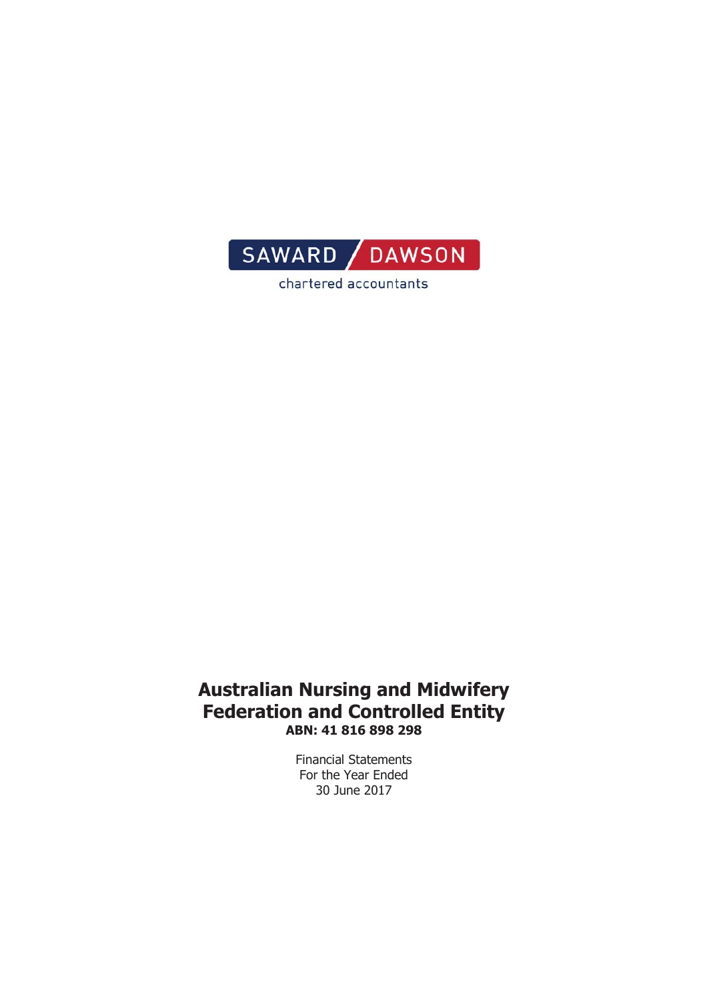

chartered accountants

#### **Australian Nursing and Midwifery Federation and Controlled Entity** ABN: 41 816 898 298

Financial Statements For the Year Ended 30 June 2017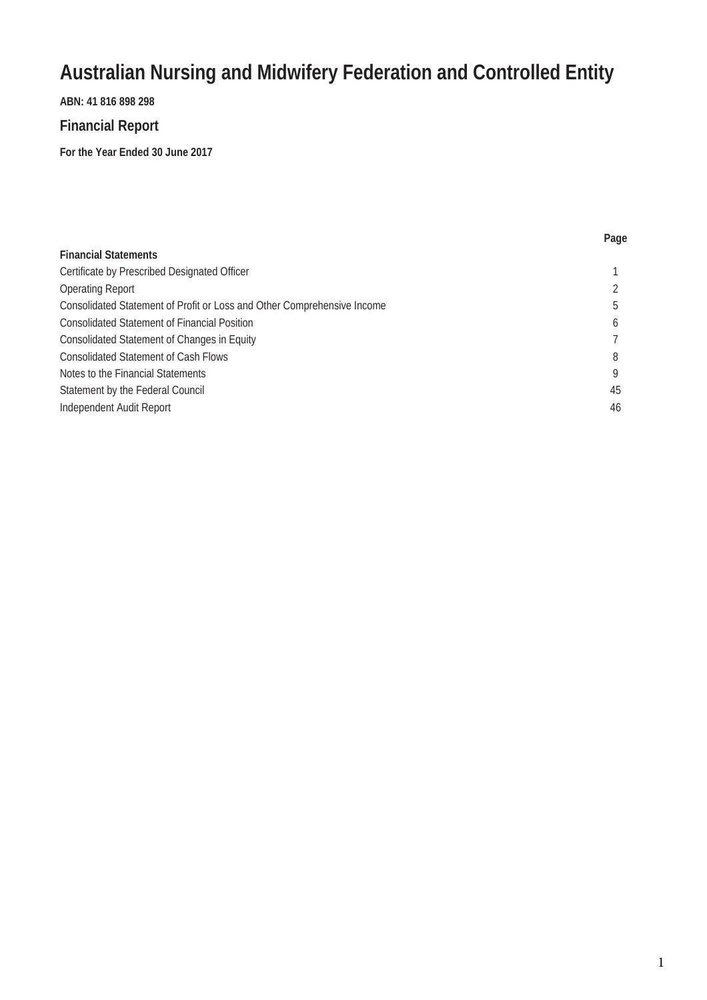#### **ABN: 41 816 898 298**

#### **Financial Report**

**For the Year Ended 30 June 2017**

|                                                                         | Page |
|-------------------------------------------------------------------------|------|
| <b>Financial Statements</b>                                             |      |
| Certificate by Prescribed Designated Officer                            |      |
| <b>Operating Report</b>                                                 |      |
| Consolidated Statement of Profit or Loss and Other Comprehensive Income | .h   |
| <b>Consolidated Statement of Financial Position</b>                     | 6    |
| <b>Consolidated Statement of Changes in Equity</b>                      |      |
| <b>Consolidated Statement of Cash Flows</b>                             | 8    |
| Notes to the Financial Statements                                       |      |
| Statement by the Federal Council                                        | 45   |
| Independent Audit Report                                                | 46   |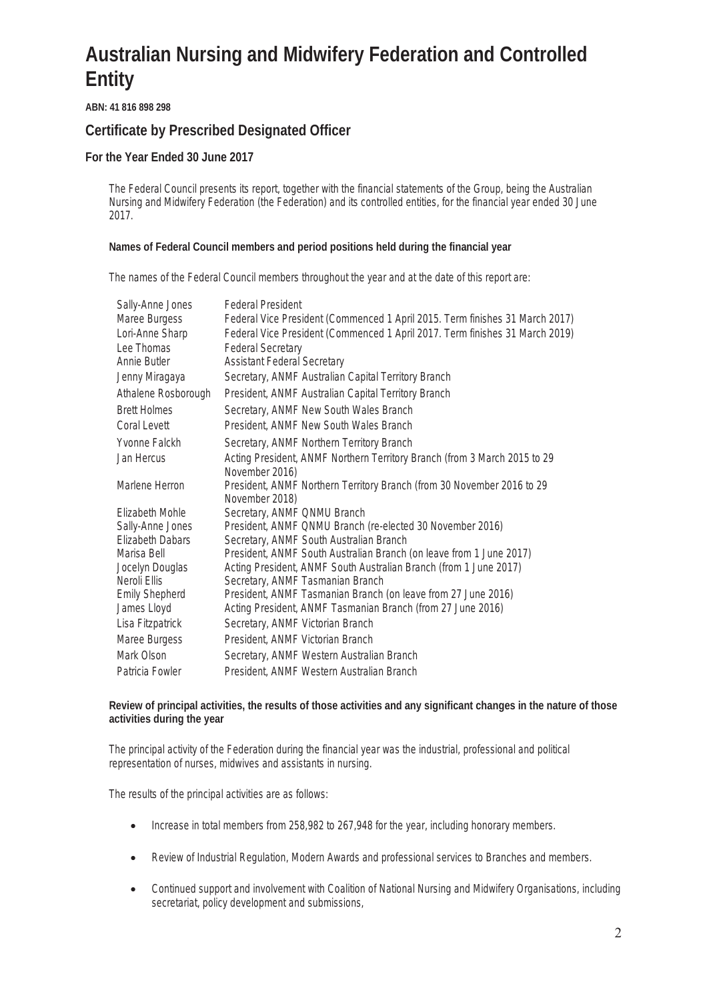**ABN: 41 816 898 298** 

#### **Certificate by Prescribed Designated Officer**

**For the Year Ended 30 June 2017** 

The Federal Council presents its report, together with the financial statements of the Group, being the Australian Nursing and Midwifery Federation (the Federation) and its controlled entities, for the financial year ended 30 June 2017.

**Names of Federal Council members and period positions held during the financial year** 

The names of the Federal Council members throughout the year and at the date of this report are:

| Sally-Anne Jones      | <b>Federal President</b>                                                     |
|-----------------------|------------------------------------------------------------------------------|
| Maree Burgess         | Federal Vice President (Commenced 1 April 2015. Term finishes 31 March 2017) |
| Lori-Anne Sharp       | Federal Vice President (Commenced 1 April 2017. Term finishes 31 March 2019) |
| Lee Thomas            | <b>Federal Secretary</b>                                                     |
| Annie Butler          | <b>Assistant Federal Secretary</b>                                           |
| Jenny Miragaya        | Secretary, ANMF Australian Capital Territory Branch                          |
| Athalene Rosborough   | President, ANMF Australian Capital Territory Branch                          |
| <b>Brett Holmes</b>   | Secretary, ANMF New South Wales Branch                                       |
| Coral Levett          | President, ANMF New South Wales Branch                                       |
| Yvonne Falckh         | Secretary, ANMF Northern Territory Branch                                    |
| <b>Jan Hercus</b>     | Acting President, ANMF Northern Territory Branch (from 3 March 2015 to 29    |
|                       | November 2016)                                                               |
| Marlene Herron        | President, ANMF Northern Territory Branch (from 30 November 2016 to 29       |
|                       | November 2018)                                                               |
| Elizabeth Mohle       | Secretary, ANMF QNMU Branch                                                  |
| Sally-Anne Jones      | President, ANMF QNMU Branch (re-elected 30 November 2016)                    |
| Elizabeth Dabars      | Secretary, ANMF South Australian Branch                                      |
| Marisa Bell           | President, ANMF South Australian Branch (on leave from 1 June 2017)          |
| Jocelyn Douglas       | Acting President, ANMF South Australian Branch (from 1 June 2017)            |
| Neroli Ellis          | Secretary, ANMF Tasmanian Branch                                             |
| <b>Emily Shepherd</b> | President, ANMF Tasmanian Branch (on leave from 27 June 2016)                |
| James Lloyd           | Acting President, ANMF Tasmanian Branch (from 27 June 2016)                  |
| Lisa Fitzpatrick      | Secretary, ANMF Victorian Branch                                             |
| Maree Burgess         | President, ANMF Victorian Branch                                             |
| Mark Olson            | Secretary, ANMF Western Australian Branch                                    |
| Patricia Fowler       | President, ANMF Western Australian Branch                                    |

**Review of principal activities, the results of those activities and any significant changes in the nature of those activities during the year** 

The principal activity of the Federation during the financial year was the industrial, professional and political representation of nurses, midwives and assistants in nursing.

The results of the principal activities are as follows:

- Increase in total members from 258,982 to 267,948 for the year, including honorary members.
- Review of Industrial Regulation, Modern Awards and professional services to Branches and members.
- Continued support and involvement with Coalition of National Nursing and Midwifery Organisations, including secretariat, policy development and submissions,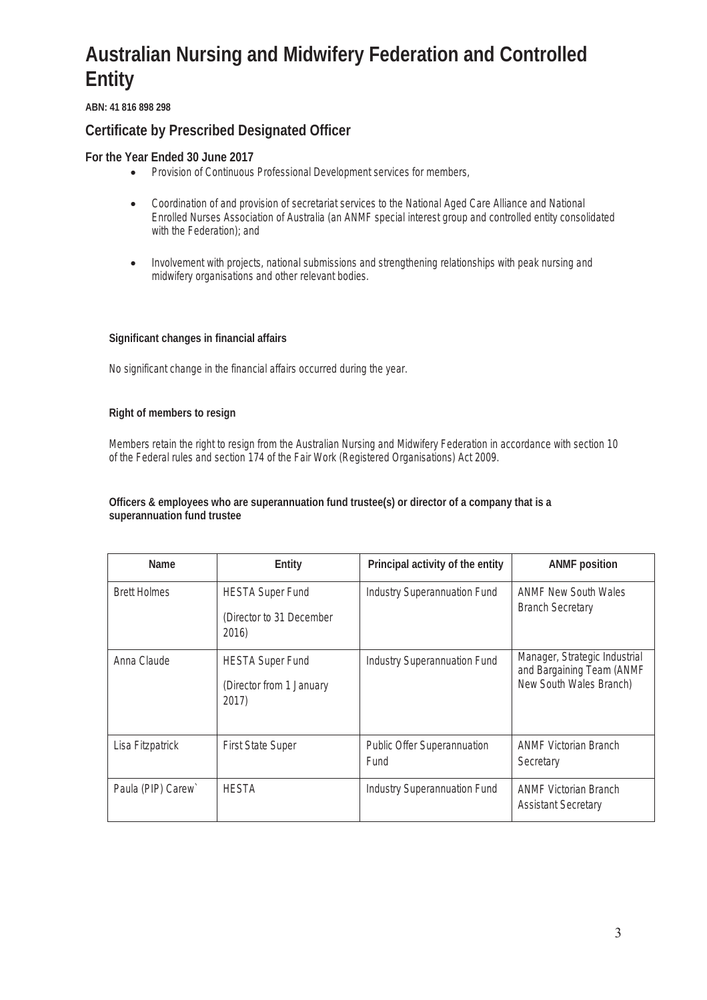**ABN: 41 816 898 298** 

#### **Certificate by Prescribed Designated Officer**

**For the Year Ended 30 June 2017** 

- Provision of Continuous Professional Development services for members,
- Coordination of and provision of secretariat services to the National Aged Care Alliance and National Enrolled Nurses Association of Australia (an ANMF special interest group and controlled entity consolidated with the Federation); and
- Involvement with projects, national submissions and strengthening relationships with peak nursing and midwifery organisations and other relevant bodies.

**Significant changes in financial affairs** 

No significant change in the financial affairs occurred during the year.

**Right of members to resign** 

Members retain the right to resign from the Australian Nursing and Midwifery Federation in accordance with section 10 of the Federal rules and section 174 of the Fair Work (Registered Organisations) Act 2009.

**Officers & employees who are superannuation fund trustee(s) or director of a company that is a superannuation fund trustee** 

| Name                | Entity                                                       | Principal activity of the entity    | <b>ANMF</b> position                                                                  |
|---------------------|--------------------------------------------------------------|-------------------------------------|---------------------------------------------------------------------------------------|
| <b>Brett Holmes</b> | <b>HESTA Super Fund</b><br>(Director to 31 December<br>2016) | <b>Industry Superannuation Fund</b> | <b>ANME New South Wales</b><br><b>Branch Secretary</b>                                |
| Anna Claude         | <b>HESTA Super Fund</b><br>(Director from 1 January<br>2017) | <b>Industry Superannuation Fund</b> | Manager, Strategic Industrial<br>and Bargaining Team (ANMF<br>New South Wales Branch) |
| Lisa Fitzpatrick    | <b>First State Super</b>                                     | Public Offer Superannuation<br>Fund | <b>ANMF Victorian Branch</b><br>Secretary                                             |
| Paula (PIP) Carew`  | <b>HESTA</b>                                                 | <b>Industry Superannuation Fund</b> | <b>ANMF Victorian Branch</b><br><b>Assistant Secretary</b>                            |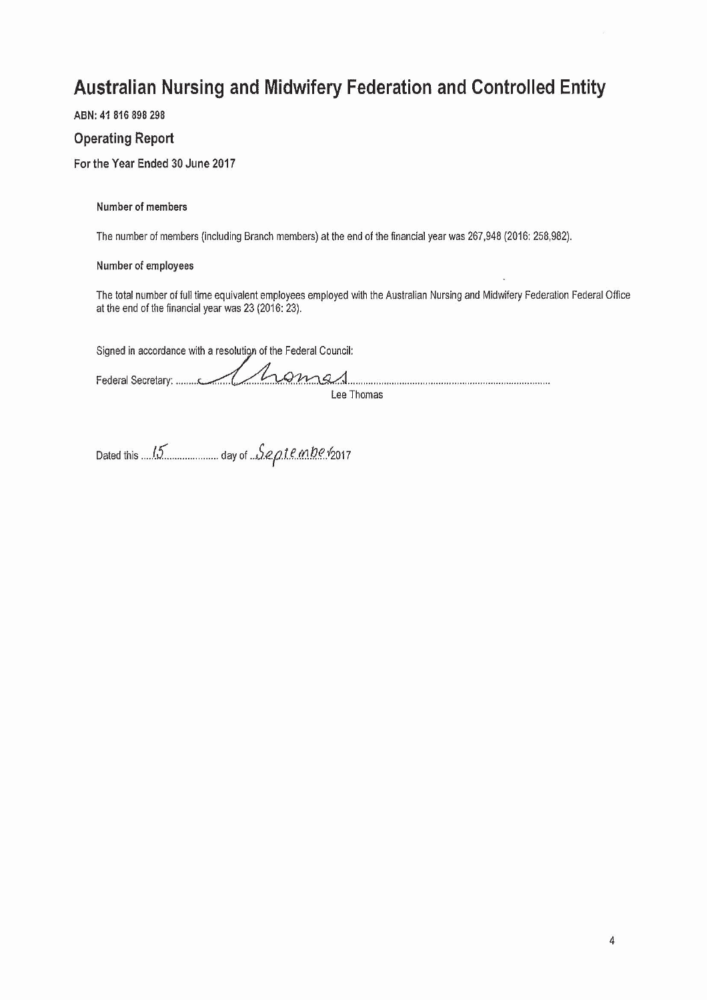ABN: 41 816 898 298

#### **Operating Report**

For the Year Ended 30 June 2017

**Number of members** 

The number of members (including Branch members) at the end of the financial year was 267,948 (2016: 258,982).

#### Number of employees

The total number of full time equivalent employees employed with the Australian Nursing and Midwifery Federation Federal Office at the end of the financial year was 23 (2016: 23).

Signed in accordance with a resolution of the Federal Council:

 $0mg$ Lee Thomas

Dated this 15 community day of Septemberrants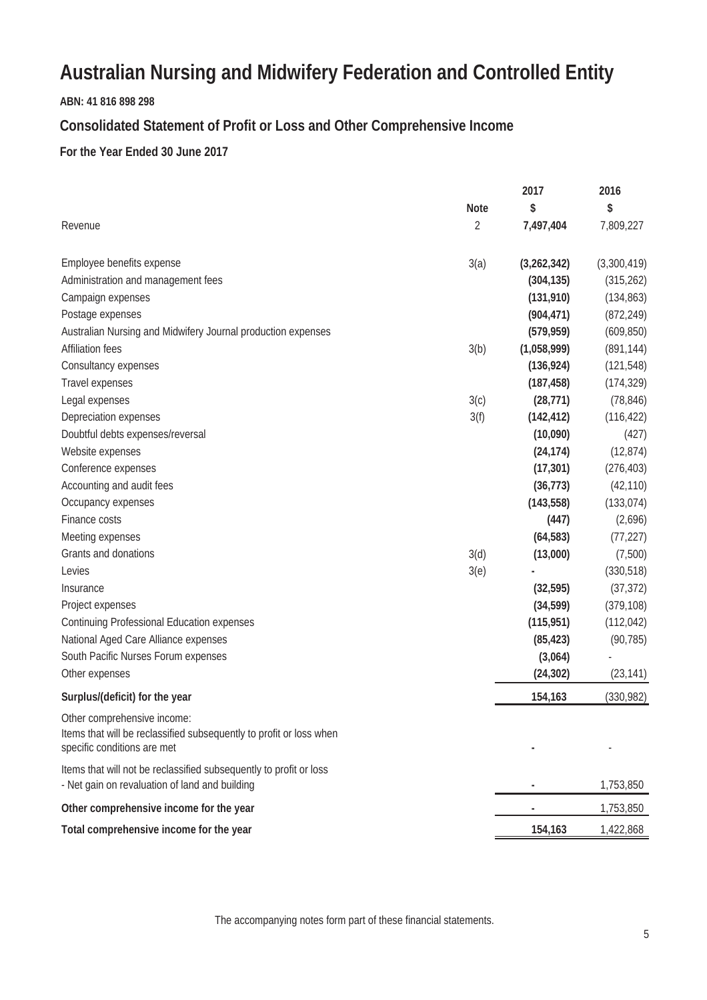#### **ABN: 41 816 898 298**

#### **Consolidated Statement of Profit or Loss and Other Comprehensive Income**

#### **For the Year Ended 30 June 2017**

|                                                                                                                                   |                | 2017        | 2016        |
|-----------------------------------------------------------------------------------------------------------------------------------|----------------|-------------|-------------|
|                                                                                                                                   | <b>Note</b>    | \$          | \$          |
| Revenue                                                                                                                           | $\overline{2}$ | 7,497,404   | 7,809,227   |
| Employee benefits expense                                                                                                         | 3(a)           | (3,262,342) | (3,300,419) |
| Administration and management fees                                                                                                |                | (304, 135)  | (315, 262)  |
| Campaign expenses                                                                                                                 |                | (131, 910)  | (134, 863)  |
| Postage expenses                                                                                                                  |                | (904, 471)  | (872, 249)  |
| Australian Nursing and Midwifery Journal production expenses                                                                      |                | (579, 959)  | (609, 850)  |
| <b>Affiliation fees</b>                                                                                                           | 3(b)           | (1,058,999) | (891, 144)  |
| Consultancy expenses                                                                                                              |                | (136, 924)  | (121, 548)  |
| Travel expenses                                                                                                                   |                | (187, 458)  | (174, 329)  |
| Legal expenses                                                                                                                    | 3(c)           | (28, 771)   | (78, 846)   |
| Depreciation expenses                                                                                                             | 3(f)           | (142, 412)  | (116, 422)  |
| Doubtful debts expenses/reversal                                                                                                  |                | (10,090)    | (427)       |
| Website expenses                                                                                                                  |                | (24, 174)   | (12, 874)   |
| Conference expenses                                                                                                               |                | (17, 301)   | (276, 403)  |
| Accounting and audit fees                                                                                                         |                | (36, 773)   | (42, 110)   |
| Occupancy expenses                                                                                                                |                | (143, 558)  | (133, 074)  |
| Finance costs                                                                                                                     |                | (447)       | (2,696)     |
| Meeting expenses                                                                                                                  |                | (64, 583)   | (77, 227)   |
| Grants and donations                                                                                                              | 3(d)           | (13,000)    | (7,500)     |
| Levies                                                                                                                            | 3(e)           |             | (330, 518)  |
| Insurance                                                                                                                         |                | (32, 595)   | (37, 372)   |
| Project expenses                                                                                                                  |                | (34, 599)   | (379, 108)  |
| <b>Continuing Professional Education expenses</b>                                                                                 |                | (115, 951)  | (112, 042)  |
| National Aged Care Alliance expenses                                                                                              |                | (85, 423)   | (90, 785)   |
| South Pacific Nurses Forum expenses                                                                                               |                | (3,064)     |             |
| Other expenses                                                                                                                    |                | (24, 302)   | (23, 141)   |
| Surplus/(deficit) for the year                                                                                                    |                | 154,163     | (330, 982)  |
| Other comprehensive income:<br>Items that will be reclassified subsequently to profit or loss when<br>specific conditions are met |                |             |             |
| Items that will not be reclassified subsequently to profit or loss<br>- Net gain on revaluation of land and building              |                |             | 1,753,850   |
| Other comprehensive income for the year                                                                                           |                |             | 1,753,850   |
| Total comprehensive income for the year                                                                                           |                | 154,163     | 1,422,868   |

The accompanying notes form part of these financial statements.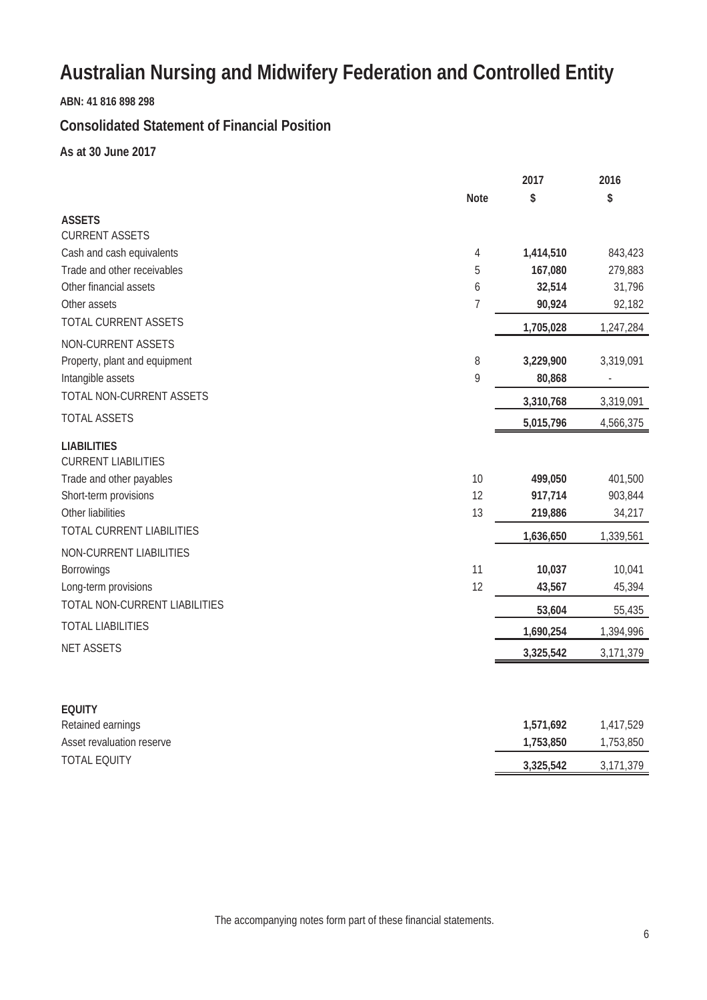**ABN: 41 816 898 298**

#### **Consolidated Statement of Financial Position**

**As at 30 June 2017**

|                                                                                                                                                         |                | 2017                                       | 2016                                      |
|---------------------------------------------------------------------------------------------------------------------------------------------------------|----------------|--------------------------------------------|-------------------------------------------|
|                                                                                                                                                         | <b>Note</b>    | \$                                         | \$                                        |
| <b>ASSETS</b>                                                                                                                                           |                |                                            |                                           |
| <b>CURRENT ASSETS</b>                                                                                                                                   |                |                                            |                                           |
| Cash and cash equivalents                                                                                                                               | 4              | 1,414,510                                  | 843,423                                   |
| Trade and other receivables                                                                                                                             | 5              | 167,080                                    | 279,883                                   |
| Other financial assets                                                                                                                                  | 6              | 32,514                                     | 31,796                                    |
| Other assets                                                                                                                                            | 7              | 90,924                                     | 92,182                                    |
| <b>TOTAL CURRENT ASSETS</b>                                                                                                                             |                | 1,705,028                                  | 1,247,284                                 |
| NON-CURRENT ASSETS                                                                                                                                      |                |                                            |                                           |
| Property, plant and equipment                                                                                                                           | 8              | 3,229,900                                  | 3,319,091                                 |
| Intangible assets                                                                                                                                       | 9              | 80,868                                     |                                           |
| TOTAL NON-CURRENT ASSETS                                                                                                                                |                | 3,310,768                                  | 3,319,091                                 |
| <b>TOTAL ASSETS</b>                                                                                                                                     |                | 5,015,796                                  | 4,566,375                                 |
| <b>LIABILITIES</b><br><b>CURRENT LIABILITIES</b><br>Trade and other payables<br>Short-term provisions<br>Other liabilities<br>TOTAL CURRENT LIABILITIES | 10<br>12<br>13 | 499,050<br>917,714<br>219,886<br>1,636,650 | 401,500<br>903,844<br>34,217<br>1,339,561 |
| NON-CURRENT LIABILITIES                                                                                                                                 |                |                                            |                                           |
| <b>Borrowings</b>                                                                                                                                       | 11             | 10,037                                     | 10,041                                    |
| Long-term provisions                                                                                                                                    | 12             | 43,567                                     | 45,394                                    |
| TOTAL NON-CURRENT LIABILITIES                                                                                                                           |                | 53,604                                     | 55,435                                    |
| <b>TOTAL LIABILITIES</b>                                                                                                                                |                | 1,690,254                                  | 1,394,996                                 |
| <b>NET ASSETS</b>                                                                                                                                       |                | 3,325,542                                  | 3,171,379                                 |
| <b>EQUITY</b>                                                                                                                                           |                |                                            |                                           |
| Retained earnings                                                                                                                                       |                | 1,571,692                                  | 1,417,529                                 |
| Asset revaluation reserve                                                                                                                               |                | 1,753,850                                  | 1,753,850                                 |
| <b>TOTAL EQUITY</b>                                                                                                                                     |                | 3,325,542                                  | 3,171,379                                 |

The accompanying notes form part of these financial statements.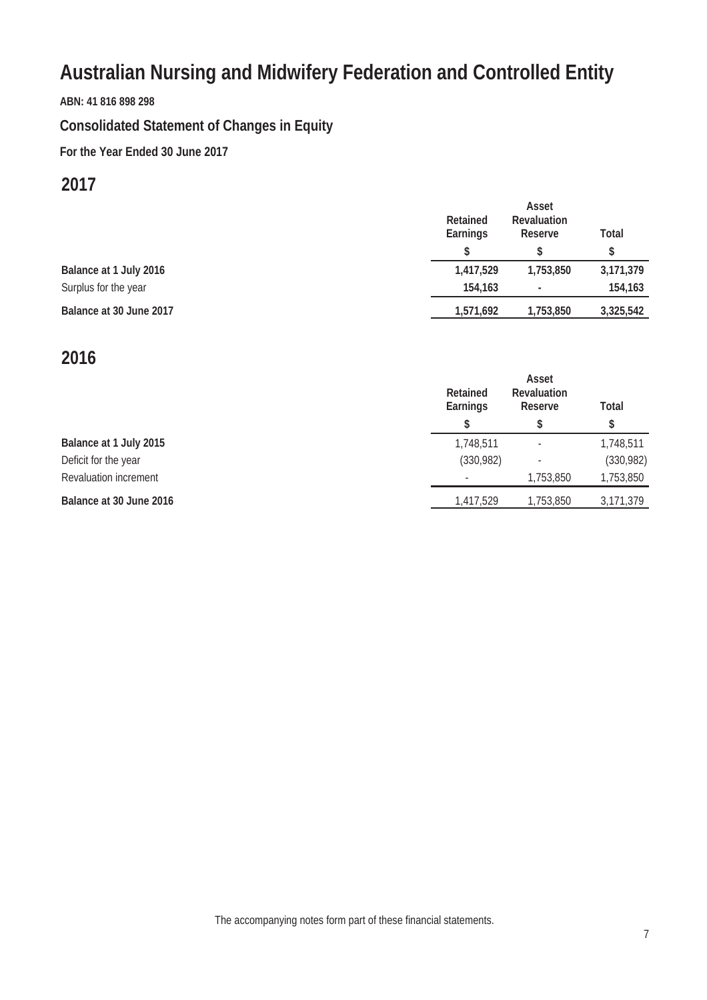**ABN: 41 816 898 298**

# **Consolidated Statement of Changes in Equity**

**For the Year Ended 30 June 2017**

### **2017**

|                         | <b>Retained</b><br>Earnings | Asset<br><b>Revaluation</b><br><b>Reserve</b> | <b>Total</b> |
|-------------------------|-----------------------------|-----------------------------------------------|--------------|
| Balance at 1 July 2016  | 1,417,529                   | 1,753,850                                     | 3,171,379    |
| Surplus for the year    | 154,163                     | ۰                                             | 154,163      |
| Balance at 30 June 2017 | 1,571,692                   | 1,753,850                                     | 3,325,542    |

## **2016**

|                              | <b>Retained</b><br><b>Earnings</b><br>S | Asset<br><b>Revaluation</b><br><b>Reserve</b> | <b>Total</b><br>\$ |
|------------------------------|-----------------------------------------|-----------------------------------------------|--------------------|
|                              |                                         |                                               |                    |
| Balance at 1 July 2015       | 1,748,511                               |                                               | 1,748,511          |
| Deficit for the year         | (330, 982)                              |                                               | (330, 982)         |
| <b>Revaluation increment</b> |                                         | 1,753,850                                     | 1,753,850          |
| Balance at 30 June 2016      | 1,417,529                               | 1,753,850                                     | 3,171,379          |

The accompanying notes form part of these financial statements.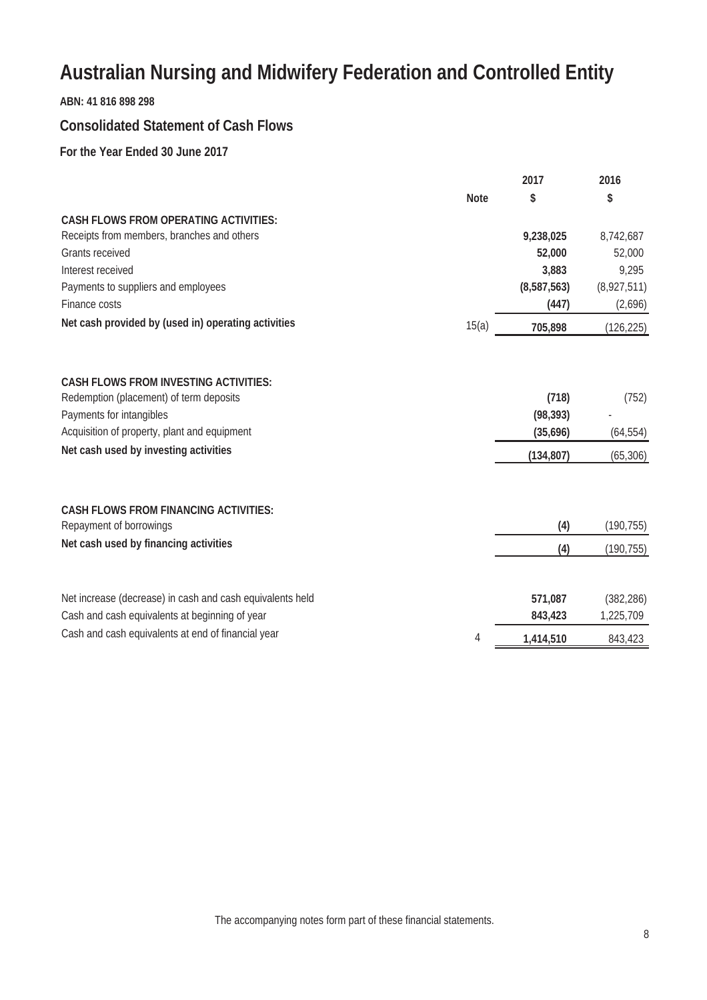#### **ABN: 41 816 898 298**

#### **Consolidated Statement of Cash Flows**

**For the Year Ended 30 June 2017**

|                                                           |             | 2017        | 2016        |
|-----------------------------------------------------------|-------------|-------------|-------------|
|                                                           | <b>Note</b> | \$          | \$          |
| <b>CASH FLOWS FROM OPERATING ACTIVITIES:</b>              |             |             |             |
| Receipts from members, branches and others                |             | 9,238,025   | 8,742,687   |
| <b>Grants received</b>                                    |             | 52,000      | 52,000      |
| Interest received                                         |             | 3,883       | 9,295       |
| Payments to suppliers and employees                       |             | (8,587,563) | (8,927,511) |
| Finance costs                                             |             | (447)       | (2,696)     |
| Net cash provided by (used in) operating activities       | 15(a)       | 705,898     | (126, 225)  |
|                                                           |             |             |             |
| <b>CASH FLOWS FROM INVESTING ACTIVITIES:</b>              |             |             |             |
| Redemption (placement) of term deposits                   |             | (718)       | (752)       |
| Payments for intangibles                                  |             | (98, 393)   |             |
| Acquisition of property, plant and equipment              |             | (35,696)    | (64, 554)   |
| Net cash used by investing activities                     |             | (134, 807)  | (65, 306)   |
|                                                           |             |             |             |
| <b>CASH FLOWS FROM FINANCING ACTIVITIES:</b>              |             |             |             |
| Repayment of borrowings                                   |             | (4)         | (190, 755)  |
| Net cash used by financing activities                     |             | (4)         | (190, 755)  |
| Net increase (decrease) in cash and cash equivalents held |             | 571,087     | (382, 286)  |
| Cash and cash equivalents at beginning of year            |             | 843,423     | 1,225,709   |
| Cash and cash equivalents at end of financial year        |             |             |             |
|                                                           | 4           | 1,414,510   | 843,423     |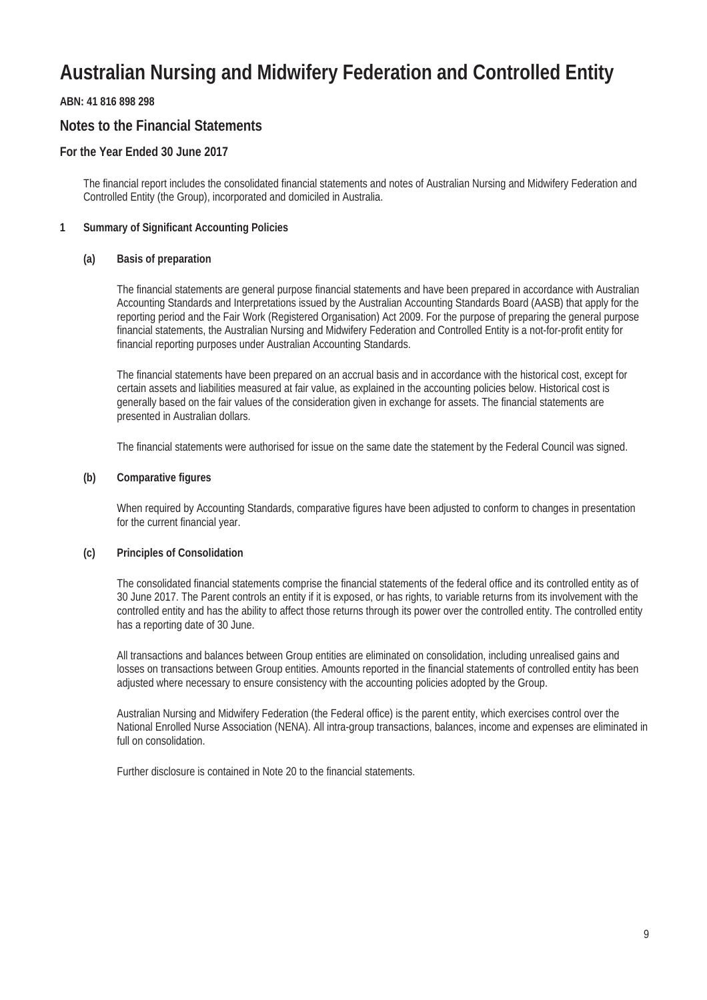#### **ABN: 41 816 898 298**

#### **Notes to the Financial Statements**

#### **For the Year Ended 30 June 2017**

The financial report includes the consolidated financial statements and notes of Australian Nursing and Midwifery Federation and Controlled Entity (the Group), incorporated and domiciled in Australia.

#### **1 Summary of Significant Accounting Policies**

#### **(a) Basis of preparation**

The financial statements are general purpose financial statements and have been prepared in accordance with Australian Accounting Standards and Interpretations issued by the Australian Accounting Standards Board (AASB) that apply for the reporting period and the Fair Work (Registered Organisation) Act 2009. For the purpose of preparing the general purpose financial statements, the Australian Nursing and Midwifery Federation and Controlled Entity is a not-for-profit entity for financial reporting purposes under Australian Accounting Standards.

The financial statements have been prepared on an accrual basis and in accordance with the historical cost, except for certain assets and liabilities measured at fair value, as explained in the accounting policies below. Historical cost is generally based on the fair values of the consideration given in exchange for assets. The financial statements are presented in Australian dollars.

The financial statements were authorised for issue on the same date the statement by the Federal Council was signed.

#### **(b) Comparative figures**

When required by Accounting Standards, comparative figures have been adjusted to conform to changes in presentation for the current financial year.

#### **(c) Principles of Consolidation**

The consolidated financial statements comprise the financial statements of the federal office and its controlled entity as of 30 June 2017. The Parent controls an entity if it is exposed, or has rights, to variable returns from its involvement with the controlled entity and has the ability to affect those returns through its power over the controlled entity. The controlled entity has a reporting date of 30 June.

All transactions and balances between Group entities are eliminated on consolidation, including unrealised gains and losses on transactions between Group entities. Amounts reported in the financial statements of controlled entity has been adjusted where necessary to ensure consistency with the accounting policies adopted by the Group.

Australian Nursing and Midwifery Federation (the Federal office) is the parent entity, which exercises control over the National Enrolled Nurse Association (NENA). All intra-group transactions, balances, income and expenses are eliminated in full on consolidation.

Further disclosure is contained in Note 20 to the financial statements.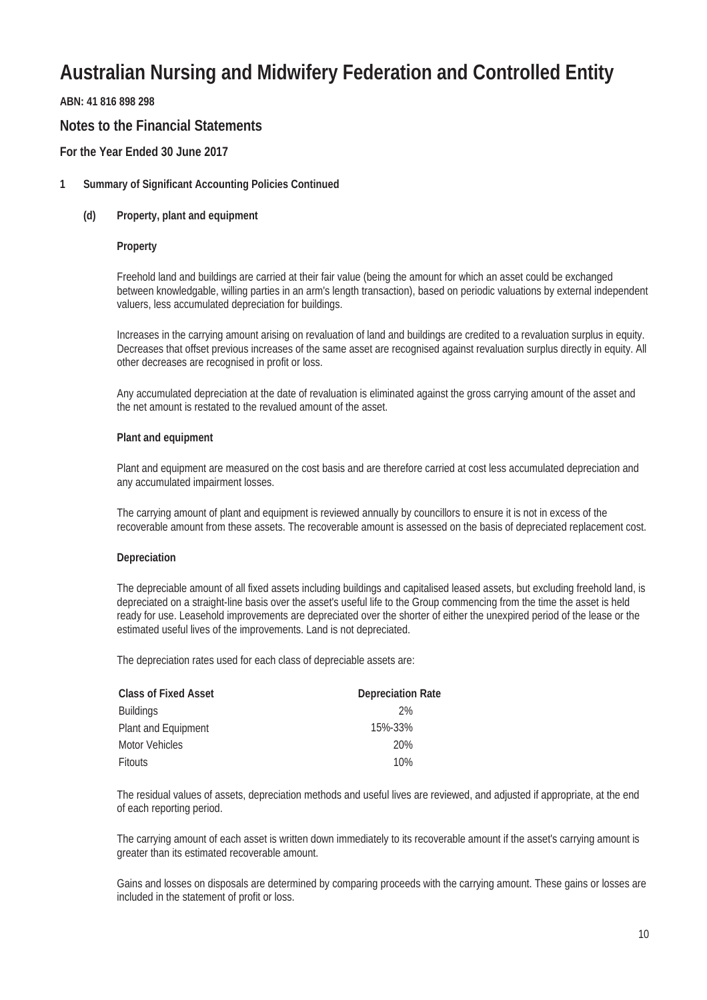#### **ABN: 41 816 898 298**

#### **Notes to the Financial Statements**

#### **For the Year Ended 30 June 2017**

#### **1 Summary of Significant Accounting Policies Continued**

#### **(d) Property, plant and equipment**

#### **Property**

Freehold land and buildings are carried at their fair value (being the amount for which an asset could be exchanged between knowledgable, willing parties in an arm's length transaction), based on periodic valuations by external independent valuers, less accumulated depreciation for buildings.

Increases in the carrying amount arising on revaluation of land and buildings are credited to a revaluation surplus in equity. Decreases that offset previous increases of the same asset are recognised against revaluation surplus directly in equity. All other decreases are recognised in profit or loss.

Any accumulated depreciation at the date of revaluation is eliminated against the gross carrying amount of the asset and the net amount is restated to the revalued amount of the asset.

#### **Plant and equipment**

Plant and equipment are measured on the cost basis and are therefore carried at cost less accumulated depreciation and any accumulated impairment losses.

The carrying amount of plant and equipment is reviewed annually by councillors to ensure it is not in excess of the recoverable amount from these assets. The recoverable amount is assessed on the basis of depreciated replacement cost.

#### **Depreciation**

The depreciable amount of all fixed assets including buildings and capitalised leased assets, but excluding freehold land, is depreciated on a straight-line basis over the asset's useful life to the Group commencing from the time the asset is held ready for use. Leasehold improvements are depreciated over the shorter of either the unexpired period of the lease or the estimated useful lives of the improvements. Land is not depreciated.

The depreciation rates used for each class of depreciable assets are:

| <b>Class of Fixed Asset</b> | <b>Depreciation Rate</b> |
|-----------------------------|--------------------------|
| <b>Buildings</b>            | 2%                       |
| Plant and Equipment         | 15%-33%                  |
| <b>Motor Vehicles</b>       | 20%                      |
| <b>Fitouts</b>              | 10%                      |

The residual values of assets, depreciation methods and useful lives are reviewed, and adjusted if appropriate, at the end of each reporting period.

The carrying amount of each asset is written down immediately to its recoverable amount if the asset's carrying amount is greater than its estimated recoverable amount.

Gains and losses on disposals are determined by comparing proceeds with the carrying amount. These gains or losses are included in the statement of profit or loss.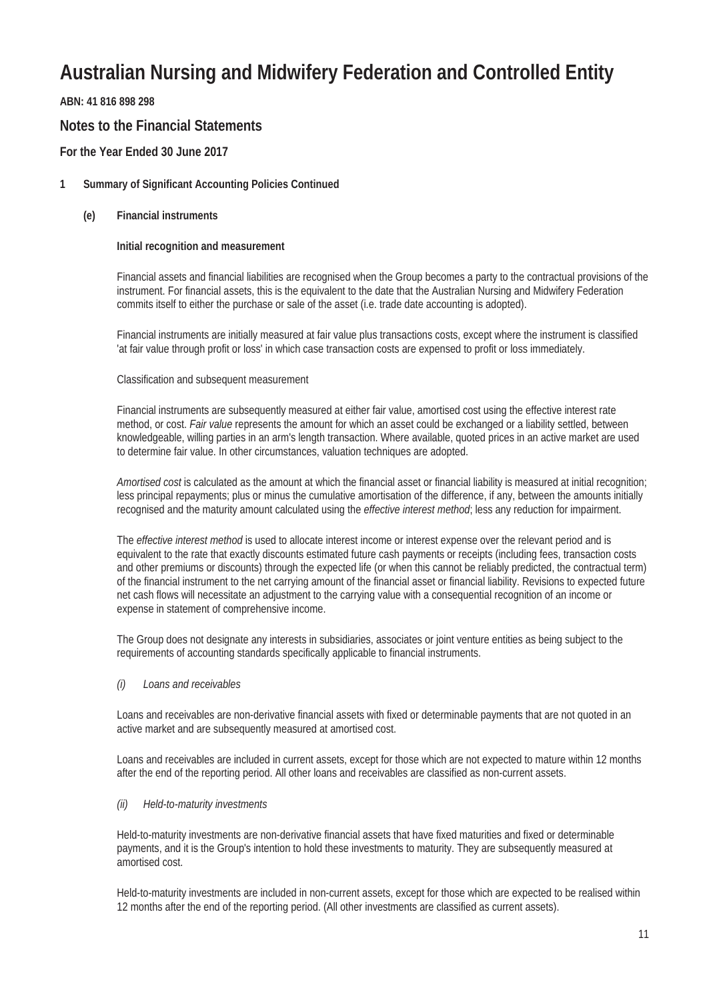**ABN: 41 816 898 298**

#### **Notes to the Financial Statements**

#### **For the Year Ended 30 June 2017**

#### **1 Summary of Significant Accounting Policies Continued**

**(e) Financial instruments**

#### **Initial recognition and measurement**

Financial assets and financial liabilities are recognised when the Group becomes a party to the contractual provisions of the instrument. For financial assets, this is the equivalent to the date that the Australian Nursing and Midwifery Federation commits itself to either the purchase or sale of the asset (i.e. trade date accounting is adopted).

Financial instruments are initially measured at fair value plus transactions costs, except where the instrument is classified 'at fair value through profit or loss' in which case transaction costs are expensed to profit or loss immediately.

#### Classification and subsequent measurement

Financial instruments are subsequently measured at either fair value, amortised cost using the effective interest rate method, or cost. *Fair value* represents the amount for which an asset could be exchanged or a liability settled, between knowledgeable, willing parties in an arm's length transaction. Where available, quoted prices in an active market are used to determine fair value. In other circumstances, valuation techniques are adopted.

*Amortised cost* is calculated as the amount at which the financial asset or financial liability is measured at initial recognition; less principal repayments; plus or minus the cumulative amortisation of the difference, if any, between the amounts initially recognised and the maturity amount calculated using the *effective interest method*; less any reduction for impairment.

The *effective interest method* is used to allocate interest income or interest expense over the relevant period and is equivalent to the rate that exactly discounts estimated future cash payments or receipts (including fees, transaction costs and other premiums or discounts) through the expected life (or when this cannot be reliably predicted, the contractual term) of the financial instrument to the net carrying amount of the financial asset or financial liability. Revisions to expected future net cash flows will necessitate an adjustment to the carrying value with a consequential recognition of an income or expense in statement of comprehensive income.

The Group does not designate any interests in subsidiaries, associates or joint venture entities as being subject to the requirements of accounting standards specifically applicable to financial instruments.

#### *(i) Loans and receivables*

Loans and receivables are non-derivative financial assets with fixed or determinable payments that are not quoted in an active market and are subsequently measured at amortised cost.

Loans and receivables are included in current assets, except for those which are not expected to mature within 12 months after the end of the reporting period. All other loans and receivables are classified as non-current assets.

#### *(ii) Held-to-maturity investments*

Held-to-maturity investments are non-derivative financial assets that have fixed maturities and fixed or determinable payments, and it is the Group's intention to hold these investments to maturity. They are subsequently measured at amortised cost.

Held-to-maturity investments are included in non-current assets, except for those which are expected to be realised within 12 months after the end of the reporting period. (All other investments are classified as current assets).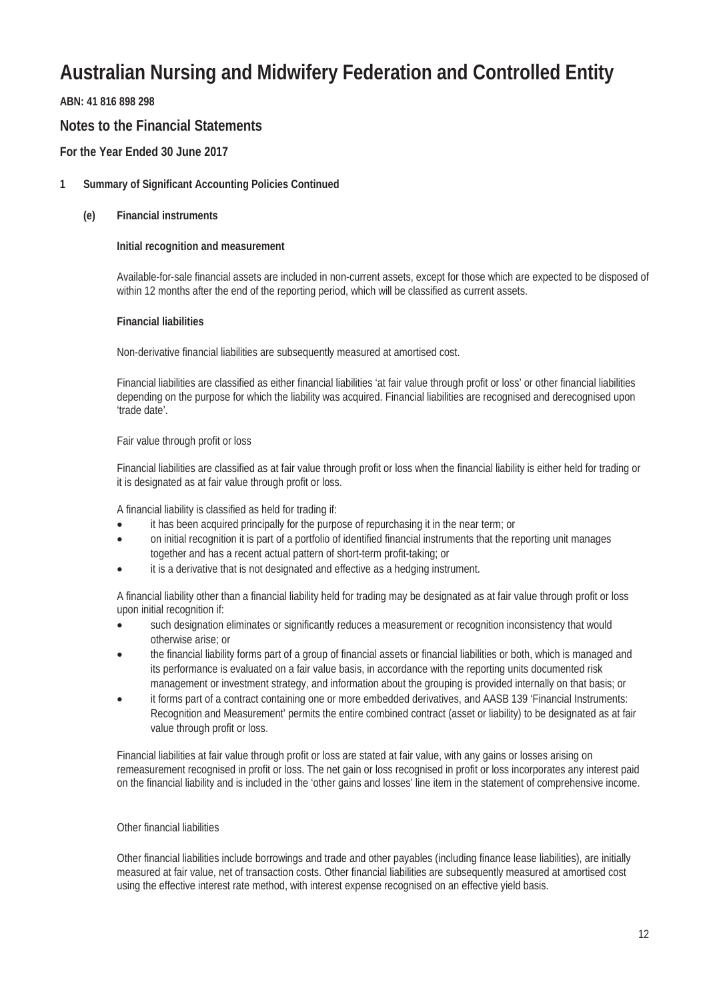**ABN: 41 816 898 298**

#### **Notes to the Financial Statements**

#### **For the Year Ended 30 June 2017**

#### **1 Summary of Significant Accounting Policies Continued**

#### **(e) Financial instruments**

#### **Initial recognition and measurement**

Available-for-sale financial assets are included in non-current assets, except for those which are expected to be disposed of within 12 months after the end of the reporting period, which will be classified as current assets.

#### **Financial liabilities**

Non-derivative financial liabilities are subsequently measured at amortised cost.

Financial liabilities are classified as either financial liabilities 'at fair value through profit or loss' or other financial liabilities depending on the purpose for which the liability was acquired. Financial liabilities are recognised and derecognised upon 'trade date'.

#### Fair value through profit or loss

Financial liabilities are classified as at fair value through profit or loss when the financial liability is either held for trading or it is designated as at fair value through profit or loss.

A financial liability is classified as held for trading if:

- it has been acquired principally for the purpose of repurchasing it in the near term; or
- on initial recognition it is part of a portfolio of identified financial instruments that the reporting unit manages together and has a recent actual pattern of short-term profit-taking; or
- it is a derivative that is not designated and effective as a hedging instrument.

A financial liability other than a financial liability held for trading may be designated as at fair value through profit or loss upon initial recognition if:

- such designation eliminates or significantly reduces a measurement or recognition inconsistency that would otherwise arise; or
- the financial liability forms part of a group of financial assets or financial liabilities or both, which is managed and its performance is evaluated on a fair value basis, in accordance with the reporting units documented risk management or investment strategy, and information about the grouping is provided internally on that basis; or
- it forms part of a contract containing one or more embedded derivatives, and AASB 139 'Financial Instruments: Recognition and Measurement' permits the entire combined contract (asset or liability) to be designated as at fair value through profit or loss.

Financial liabilities at fair value through profit or loss are stated at fair value, with any gains or losses arising on remeasurement recognised in profit or loss. The net gain or loss recognised in profit or loss incorporates any interest paid on the financial liability and is included in the 'other gains and losses' line item in the statement of comprehensive income.

#### Other financial liabilities

Other financial liabilities include borrowings and trade and other payables (including finance lease liabilities), are initially measured at fair value, net of transaction costs. Other financial liabilities are subsequently measured at amortised cost using the effective interest rate method, with interest expense recognised on an effective yield basis.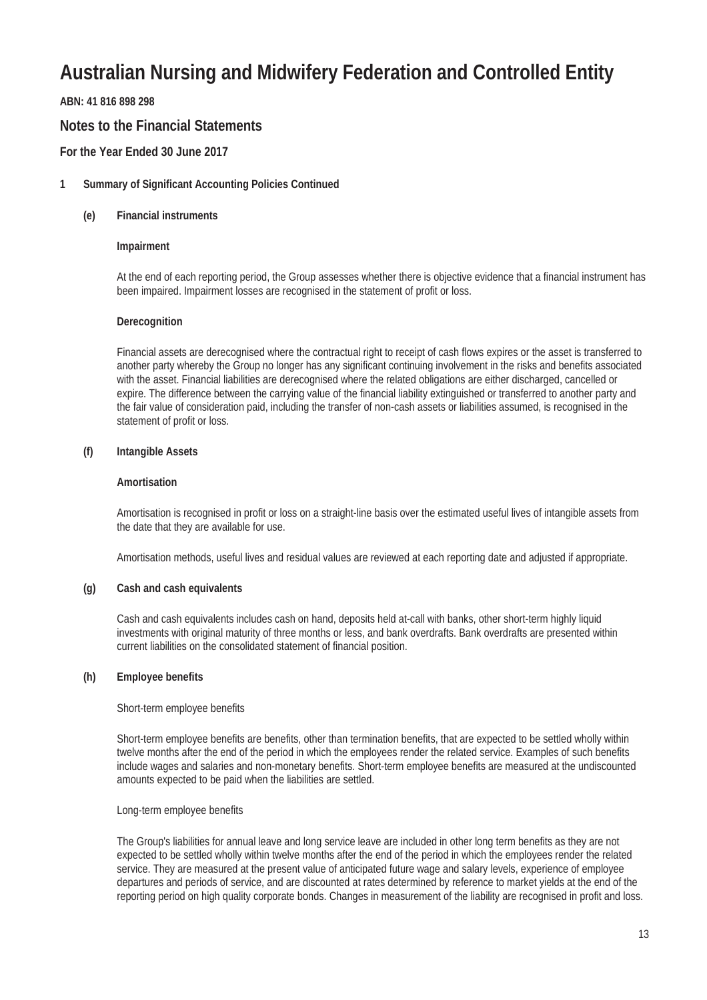#### **ABN: 41 816 898 298**

#### **Notes to the Financial Statements**

#### **For the Year Ended 30 June 2017**

#### **1 Summary of Significant Accounting Policies Continued**

#### **(e) Financial instruments**

#### **Impairment**

At the end of each reporting period, the Group assesses whether there is objective evidence that a financial instrument has been impaired. Impairment losses are recognised in the statement of profit or loss.

#### **Derecognition**

Financial assets are derecognised where the contractual right to receipt of cash flows expires or the asset is transferred to another party whereby the Group no longer has any significant continuing involvement in the risks and benefits associated with the asset. Financial liabilities are derecognised where the related obligations are either discharged, cancelled or expire. The difference between the carrying value of the financial liability extinguished or transferred to another party and the fair value of consideration paid, including the transfer of non-cash assets or liabilities assumed, is recognised in the statement of profit or loss.

#### **(f) Intangible Assets**

#### **Amortisation**

Amortisation is recognised in profit or loss on a straight-line basis over the estimated useful lives of intangible assets from the date that they are available for use.

Amortisation methods, useful lives and residual values are reviewed at each reporting date and adjusted if appropriate.

#### **(g) Cash and cash equivalents**

Cash and cash equivalents includes cash on hand, deposits held at-call with banks, other short-term highly liquid investments with original maturity of three months or less, and bank overdrafts. Bank overdrafts are presented within current liabilities on the consolidated statement of financial position.

#### **(h) Employee benefits**

#### Short-term employee benefits

Short-term employee benefits are benefits, other than termination benefits, that are expected to be settled wholly within twelve months after the end of the period in which the employees render the related service. Examples of such benefits include wages and salaries and non-monetary benefits. Short-term employee benefits are measured at the undiscounted amounts expected to be paid when the liabilities are settled.

#### Long-term employee benefits

The Group's liabilities for annual leave and long service leave are included in other long term benefits as they are not expected to be settled wholly within twelve months after the end of the period in which the employees render the related service. They are measured at the present value of anticipated future wage and salary levels, experience of employee departures and periods of service, and are discounted at rates determined by reference to market yields at the end of the reporting period on high quality corporate bonds. Changes in measurement of the liability are recognised in profit and loss.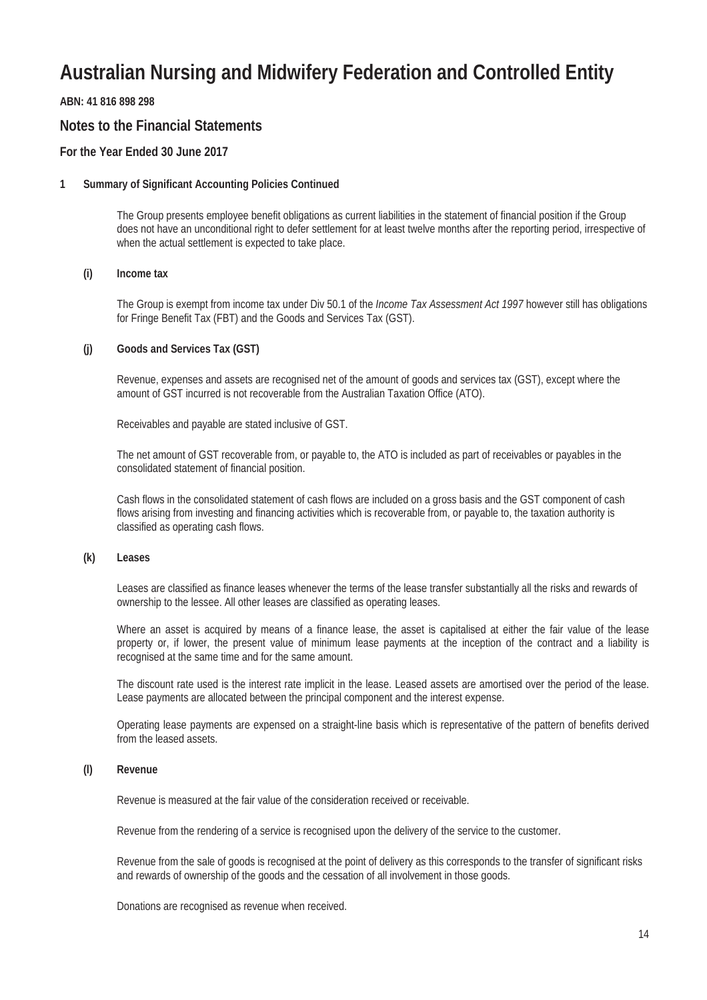**ABN: 41 816 898 298**

#### **Notes to the Financial Statements**

#### **For the Year Ended 30 June 2017**

#### **1 Summary of Significant Accounting Policies Continued**

The Group presents employee benefit obligations as current liabilities in the statement of financial position if the Group does not have an unconditional right to defer settlement for at least twelve months after the reporting period, irrespective of when the actual settlement is expected to take place.

#### **(i) Income tax**

The Group is exempt from income tax under Div 50.1 of the *Income Tax Assessment Act 1997* however still has obligations for Fringe Benefit Tax (FBT) and the Goods and Services Tax (GST).

#### **(j) Goods and Services Tax (GST)**

Revenue, expenses and assets are recognised net of the amount of goods and services tax (GST), except where the amount of GST incurred is not recoverable from the Australian Taxation Office (ATO).

Receivables and payable are stated inclusive of GST.

The net amount of GST recoverable from, or payable to, the ATO is included as part of receivables or payables in the consolidated statement of financial position.

Cash flows in the consolidated statement of cash flows are included on a gross basis and the GST component of cash flows arising from investing and financing activities which is recoverable from, or payable to, the taxation authority is classified as operating cash flows.

#### **(k) Leases**

Leases are classified as finance leases whenever the terms of the lease transfer substantially all the risks and rewards of ownership to the lessee. All other leases are classified as operating leases.

Where an asset is acquired by means of a finance lease, the asset is capitalised at either the fair value of the lease property or, if lower, the present value of minimum lease payments at the inception of the contract and a liability is recognised at the same time and for the same amount.

The discount rate used is the interest rate implicit in the lease. Leased assets are amortised over the period of the lease. Lease payments are allocated between the principal component and the interest expense.

Operating lease payments are expensed on a straight-line basis which is representative of the pattern of benefits derived from the leased assets.

#### **(l) Revenue**

Revenue is measured at the fair value of the consideration received or receivable.

Revenue from the rendering of a service is recognised upon the delivery of the service to the customer.

Revenue from the sale of goods is recognised at the point of delivery as this corresponds to the transfer of significant risks and rewards of ownership of the goods and the cessation of all involvement in those goods.

Donations are recognised as revenue when received.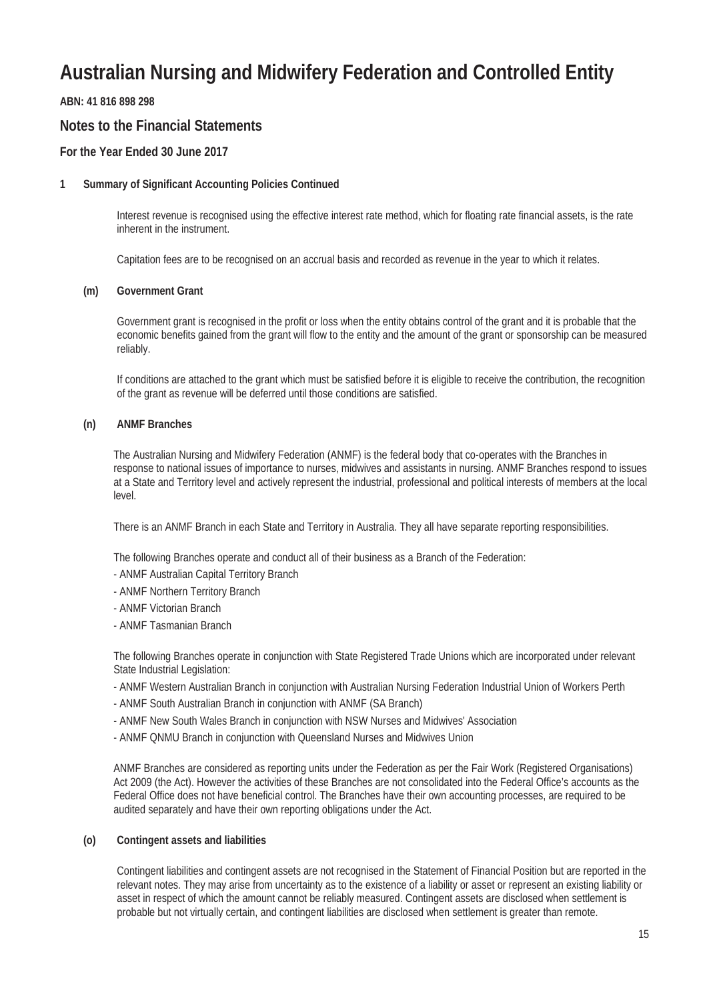**ABN: 41 816 898 298**

#### **Notes to the Financial Statements**

#### **For the Year Ended 30 June 2017**

#### **1 Summary of Significant Accounting Policies Continued**

Interest revenue is recognised using the effective interest rate method, which for floating rate financial assets, is the rate inherent in the instrument.

Capitation fees are to be recognised on an accrual basis and recorded as revenue in the year to which it relates.

#### **(m) Government Grant**

Government grant is recognised in the profit or loss when the entity obtains control of the grant and it is probable that the economic benefits gained from the grant will flow to the entity and the amount of the grant or sponsorship can be measured reliably.

If conditions are attached to the grant which must be satisfied before it is eligible to receive the contribution, the recognition of the grant as revenue will be deferred until those conditions are satisfied.

#### **(n) ANMF Branches**

The Australian Nursing and Midwifery Federation (ANMF) is the federal body that co-operates with the Branches in response to national issues of importance to nurses, midwives and assistants in nursing. ANMF Branches respond to issues at a State and Territory level and actively represent the industrial, professional and political interests of members at the local level.

There is an ANMF Branch in each State and Territory in Australia. They all have separate reporting responsibilities.

The following Branches operate and conduct all of their business as a Branch of the Federation:

- ANMF Australian Capital Territory Branch
- ANMF Northern Territory Branch
- ANMF Victorian Branch
- ANMF Tasmanian Branch

The following Branches operate in conjunction with State Registered Trade Unions which are incorporated under relevant State Industrial Legislation:

- ANMF Western Australian Branch in conjunction with Australian Nursing Federation Industrial Union of Workers Perth
- ANMF South Australian Branch in conjunction with ANMF (SA Branch)
- ANMF New South Wales Branch in conjunction with NSW Nurses and Midwives' Association
- ANMF QNMU Branch in conjunction with Queensland Nurses and Midwives Union

ANMF Branches are considered as reporting units under the Federation as per the Fair Work (Registered Organisations) Act 2009 (the Act). However the activities of these Branches are not consolidated into the Federal Office's accounts as the Federal Office does not have beneficial control. The Branches have their own accounting processes, are required to be audited separately and have their own reporting obligations under the Act.

#### **(o) Contingent assets and liabilities**

Contingent liabilities and contingent assets are not recognised in the Statement of Financial Position but are reported in the relevant notes. They may arise from uncertainty as to the existence of a liability or asset or represent an existing liability or asset in respect of which the amount cannot be reliably measured. Contingent assets are disclosed when settlement is probable but not virtually certain, and contingent liabilities are disclosed when settlement is greater than remote.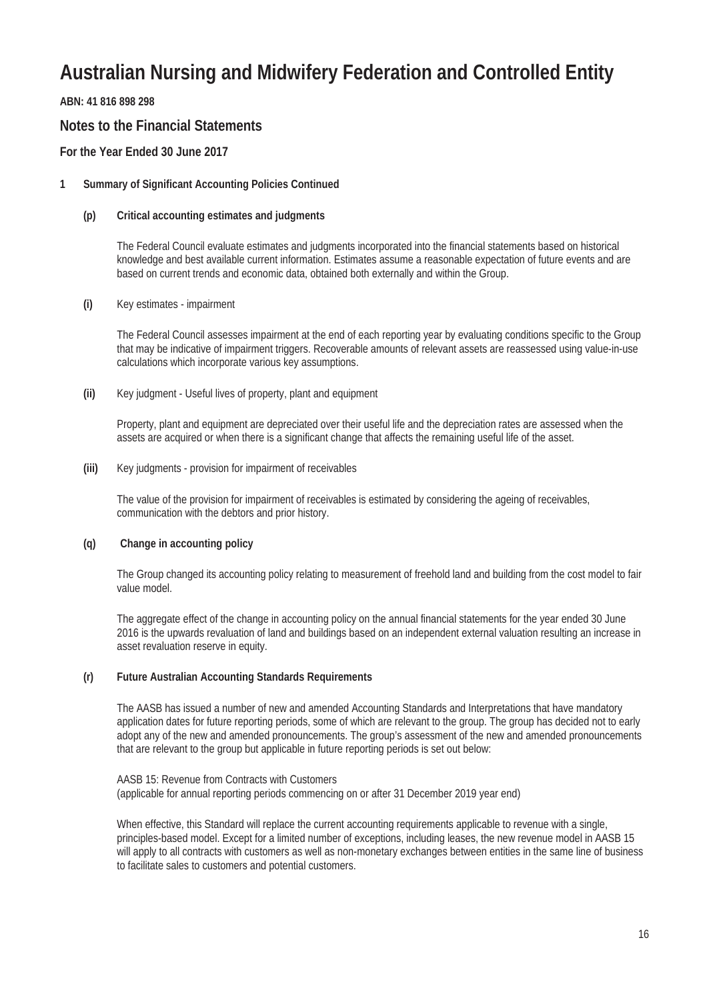**ABN: 41 816 898 298**

#### **Notes to the Financial Statements**

#### **For the Year Ended 30 June 2017**

#### **1 Summary of Significant Accounting Policies Continued**

#### **(p) Critical accounting estimates and judgments**

The Federal Council evaluate estimates and judgments incorporated into the financial statements based on historical knowledge and best available current information. Estimates assume a reasonable expectation of future events and are based on current trends and economic data, obtained both externally and within the Group.

#### **(i)** Key estimates - impairment

The Federal Council assesses impairment at the end of each reporting year by evaluating conditions specific to the Group that may be indicative of impairment triggers. Recoverable amounts of relevant assets are reassessed using value-in-use calculations which incorporate various key assumptions.

**(ii)** Key judgment - Useful lives of property, plant and equipment

Property, plant and equipment are depreciated over their useful life and the depreciation rates are assessed when the assets are acquired or when there is a significant change that affects the remaining useful life of the asset.

**(iii)** Key judgments - provision for impairment of receivables

The value of the provision for impairment of receivables is estimated by considering the ageing of receivables, communication with the debtors and prior history.

#### **(q) Change in accounting policy**

The Group changed its accounting policy relating to measurement of freehold land and building from the cost model to fair value model.

The aggregate effect of the change in accounting policy on the annual financial statements for the year ended 30 June 2016 is the upwards revaluation of land and buildings based on an independent external valuation resulting an increase in asset revaluation reserve in equity.

#### **(r) Future Australian Accounting Standards Requirements**

The AASB has issued a number of new and amended Accounting Standards and Interpretations that have mandatory application dates for future reporting periods, some of which are relevant to the group. The group has decided not to early adopt any of the new and amended pronouncements. The group's assessment of the new and amended pronouncements that are relevant to the group but applicable in future reporting periods is set out below:

AASB 15: Revenue from Contracts with Customers (applicable for annual reporting periods commencing on or after 31 December 2019 year end)

When effective, this Standard will replace the current accounting requirements applicable to revenue with a single, principles-based model. Except for a limited number of exceptions, including leases, the new revenue model in AASB 15 will apply to all contracts with customers as well as non-monetary exchanges between entities in the same line of business to facilitate sales to customers and potential customers.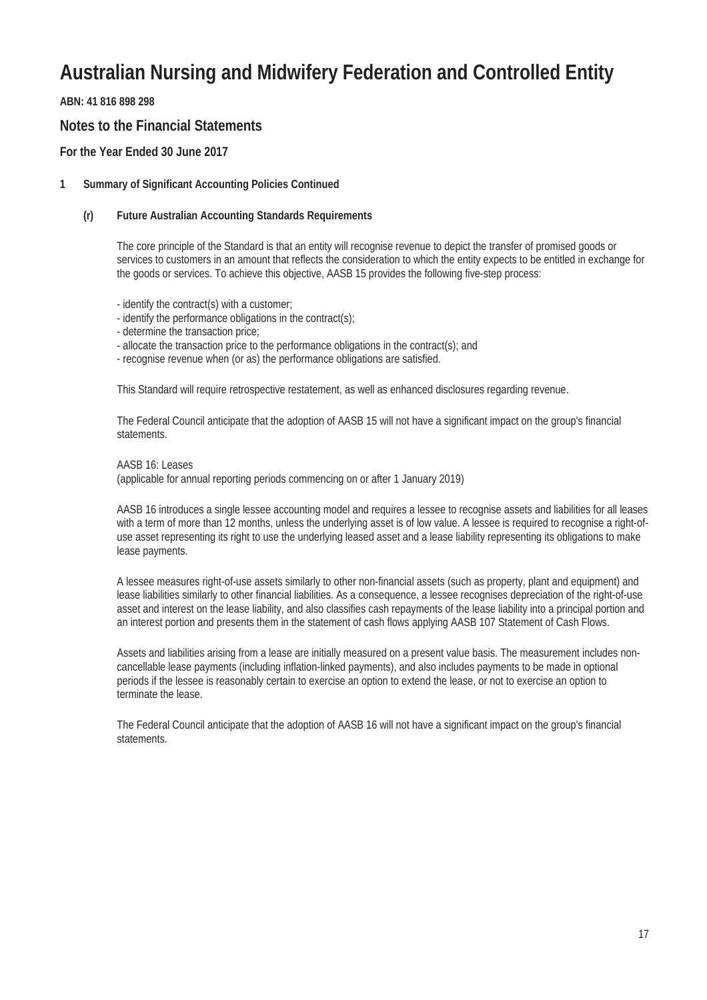**ABN: 41 816 898 298**

#### **Notes to the Financial Statements**

#### **For the Year Ended 30 June 2017**

#### **1 Summary of Significant Accounting Policies Continued**

#### **(r) Future Australian Accounting Standards Requirements**

The core principle of the Standard is that an entity will recognise revenue to depict the transfer of promised goods or services to customers in an amount that reflects the consideration to which the entity expects to be entitled in exchange for the goods or services. To achieve this objective, AASB 15 provides the following five-step process:

- identify the contract(s) with a customer;

- identify the performance obligations in the contract(s);
- determine the transaction price;
- allocate the transaction price to the performance obligations in the contract(s); and
- recognise revenue when (or as) the performance obligations are satisfied.

This Standard will require retrospective restatement, as well as enhanced disclosures regarding revenue.

The Federal Council anticipate that the adoption of AASB 15 will not have a significant impact on the group's financial statements.

AASB 16: Leases (applicable for annual reporting periods commencing on or after 1 January 2019)

AASB 16 introduces a single lessee accounting model and requires a lessee to recognise assets and liabilities for all leases with a term of more than 12 months, unless the underlying asset is of low value. A lessee is required to recognise a right-ofuse asset representing its right to use the underlying leased asset and a lease liability representing its obligations to make lease payments.

A lessee measures right-of-use assets similarly to other non-financial assets (such as property, plant and equipment) and lease liabilities similarly to other financial liabilities. As a consequence, a lessee recognises depreciation of the right-of-use asset and interest on the lease liability, and also classifies cash repayments of the lease liability into a principal portion and an interest portion and presents them in the statement of cash flows applying AASB 107 Statement of Cash Flows.

Assets and liabilities arising from a lease are initially measured on a present value basis. The measurement includes noncancellable lease payments (including inflation-linked payments), and also includes payments to be made in optional periods if the lessee is reasonably certain to exercise an option to extend the lease, or not to exercise an option to terminate the lease.

The Federal Council anticipate that the adoption of AASB 16 will not have a significant impact on the group's financial statements.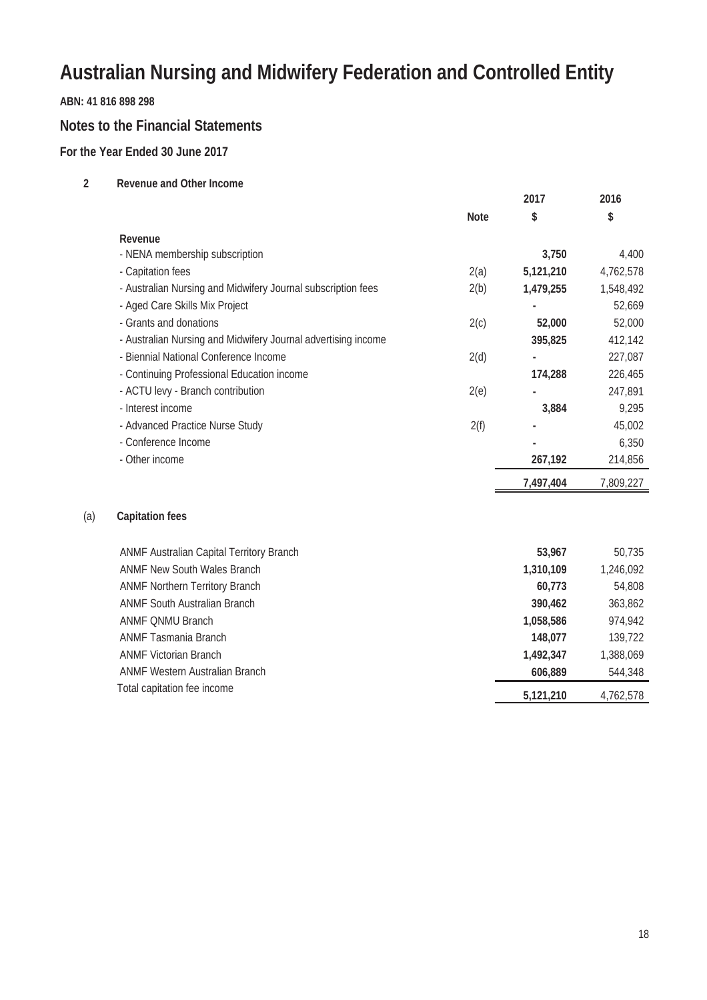#### **ABN: 41 816 898 298**

#### **Notes to the Financial Statements**

#### **For the Year Ended 30 June 2017**

| 2   | <b>Revenue and Other Income</b>                               |             |           |           |
|-----|---------------------------------------------------------------|-------------|-----------|-----------|
|     |                                                               |             | 2017      | 2016      |
|     |                                                               | <b>Note</b> | \$        | \$        |
|     | Revenue                                                       |             |           |           |
|     | - NENA membership subscription                                |             | 3,750     | 4,400     |
|     | - Capitation fees                                             | 2(a)        | 5,121,210 | 4,762,578 |
|     | - Australian Nursing and Midwifery Journal subscription fees  | 2(b)        | 1,479,255 | 1,548,492 |
|     | - Aged Care Skills Mix Project                                |             |           | 52,669    |
|     | - Grants and donations                                        | 2(c)        | 52,000    | 52,000    |
|     | - Australian Nursing and Midwifery Journal advertising income |             | 395,825   | 412,142   |
|     | - Biennial National Conference Income                         | 2(d)        |           | 227,087   |
|     | - Continuing Professional Education income                    |             | 174,288   | 226,465   |
|     | - ACTU levy - Branch contribution                             | 2(e)        |           | 247,891   |
|     | - Interest income                                             |             | 3,884     | 9,295     |
|     | - Advanced Practice Nurse Study                               | 2(f)        |           | 45,002    |
|     | - Conference Income                                           |             |           | 6,350     |
|     | - Other income                                                |             | 267,192   | 214,856   |
|     |                                                               |             | 7,497,404 | 7,809,227 |
| (a) | <b>Capitation fees</b>                                        |             |           |           |
|     | ANMF Australian Capital Territory Branch                      |             | 53,967    | 50,735    |
|     | <b>ANMF New South Wales Branch</b>                            |             | 1,310,109 | 1,246,092 |
|     | <b>ANMF Northern Territory Branch</b>                         |             | 60,773    | 54,808    |
|     | <b>ANMF South Australian Branch</b>                           |             | 390,462   | 363,862   |
|     | <b>ANMF QNMU Branch</b>                                       |             | 1,058,586 | 974,942   |
|     | <b>ANMF Tasmania Branch</b>                                   |             | 148,077   | 139,722   |

ANMF Victorian Branch **1,492,347** 1,388,069 ANMF Western Australian Branch **606,889** 544,348 Total capitation fee income **6,121,210** 4,762,578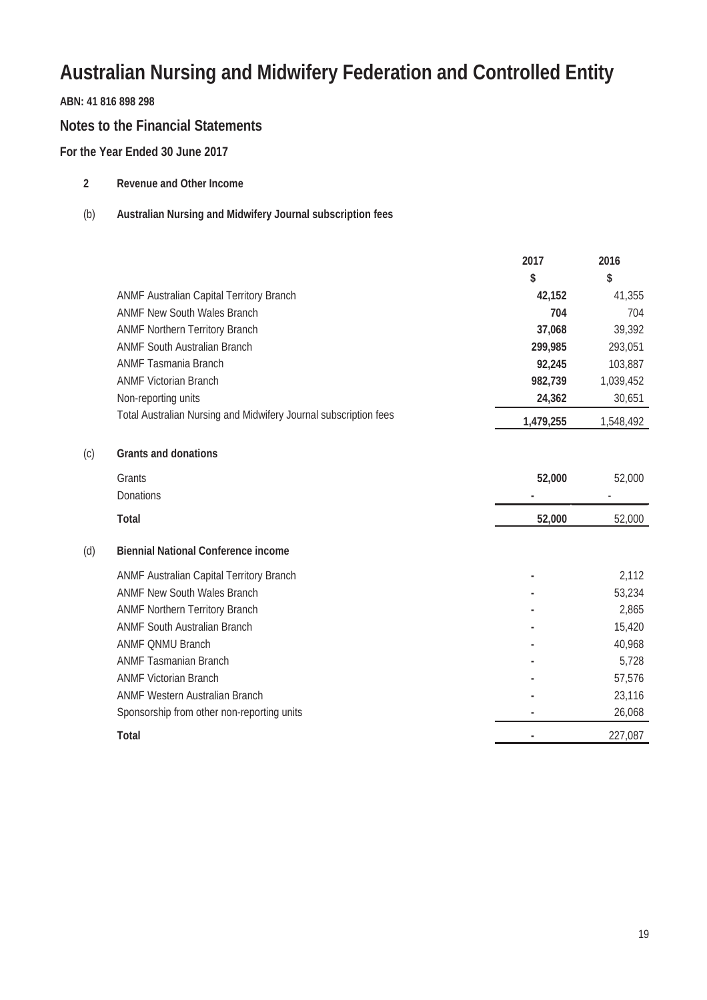#### **ABN: 41 816 898 298**

#### **Notes to the Financial Statements**

#### **For the Year Ended 30 June 2017**

| <b>Revenue and Other Income</b> |  |  |
|---------------------------------|--|--|
|                                 |  |  |

#### (b) **Australian Nursing and Midwifery Journal subscription fees**

|     |                                                                  | 2017      | 2016      |
|-----|------------------------------------------------------------------|-----------|-----------|
|     |                                                                  | \$        | \$        |
|     | ANMF Australian Capital Territory Branch                         | 42,152    | 41,355    |
|     | <b>ANMF New South Wales Branch</b>                               | 704       | 704       |
|     | <b>ANMF Northern Territory Branch</b>                            | 37,068    | 39,392    |
|     | <b>ANMF South Australian Branch</b>                              | 299,985   | 293,051   |
|     | <b>ANMF Tasmania Branch</b>                                      | 92,245    | 103,887   |
|     | <b>ANMF Victorian Branch</b>                                     | 982,739   | 1,039,452 |
|     | Non-reporting units                                              | 24,362    | 30,651    |
|     | Total Australian Nursing and Midwifery Journal subscription fees | 1,479,255 | 1,548,492 |
| (c) | <b>Grants and donations</b>                                      |           |           |
|     | Grants                                                           | 52,000    | 52,000    |
|     | Donations                                                        |           |           |
|     | <b>Total</b>                                                     | 52,000    | 52,000    |
| (d) | <b>Biennial National Conference income</b>                       |           |           |
|     | ANMF Australian Capital Territory Branch                         |           | 2,112     |
|     | <b>ANMF New South Wales Branch</b>                               |           | 53,234    |
|     | <b>ANMF Northern Territory Branch</b>                            |           | 2,865     |
|     | <b>ANMF South Australian Branch</b>                              |           | 15,420    |
|     | <b>ANMF QNMU Branch</b>                                          |           | 40,968    |
|     | <b>ANMF Tasmanian Branch</b>                                     |           | 5,728     |
|     | <b>ANMF Victorian Branch</b>                                     |           | 57,576    |
|     | <b>ANMF Western Australian Branch</b>                            |           | 23,116    |
|     | Sponsorship from other non-reporting units                       |           | 26,068    |
|     | <b>Total</b>                                                     |           | 227,087   |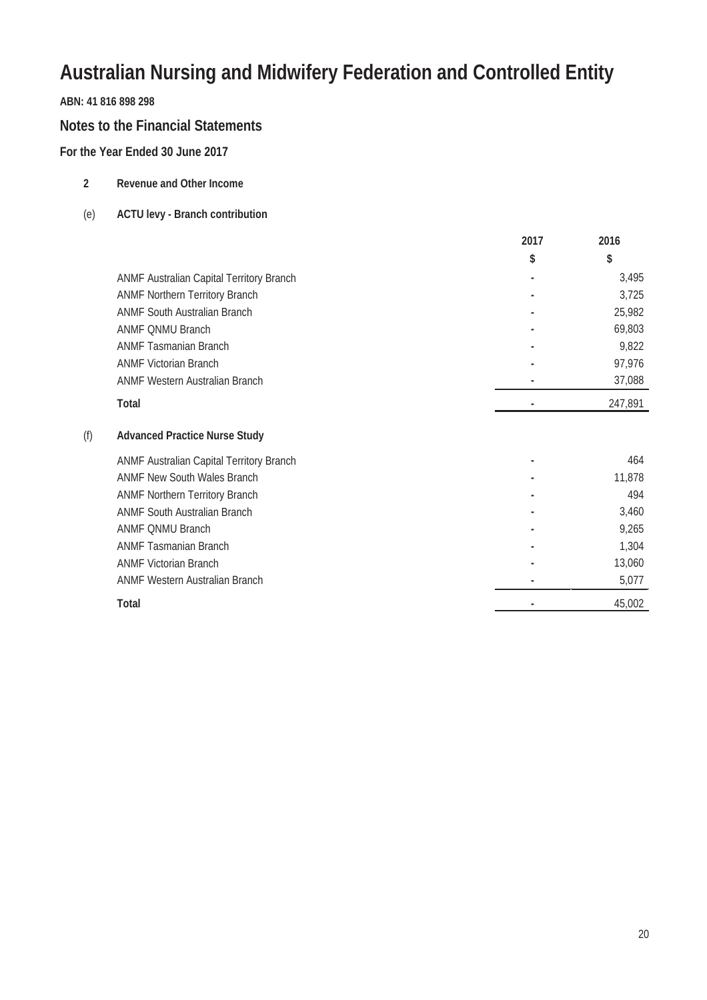#### **ABN: 41 816 898 298**

#### **Notes to the Financial Statements**

**2 Revenue and Other Income**

#### **For the Year Ended 30 June 2017**

| (e) | <b>ACTU levy - Branch contribution</b>   |      |         |
|-----|------------------------------------------|------|---------|
|     |                                          | 2017 | 2016    |
|     |                                          | \$   | \$      |
|     | ANMF Australian Capital Territory Branch |      | 3,495   |
|     | <b>ANMF Northern Territory Branch</b>    |      | 3,725   |
|     | <b>ANMF South Australian Branch</b>      |      | 25,982  |
|     | <b>ANMF ONMU Branch</b>                  |      | 69,803  |
|     | <b>ANMF Tasmanian Branch</b>             |      | 9,822   |
|     | <b>ANMF Victorian Branch</b>             |      | 97,976  |
|     | <b>ANMF Western Australian Branch</b>    |      | 37,088  |
|     | <b>Total</b>                             |      | 247,891 |
| (f) | <b>Advanced Practice Nurse Study</b>     |      |         |
|     | ANMF Australian Capital Territory Branch | ۰    | 464     |
|     | <b>ANMF New South Wales Branch</b>       |      | 11,878  |
|     | <b>ANMF Northern Territory Branch</b>    |      | 494     |
|     | <b>ANMF South Australian Branch</b>      |      | 3,460   |
|     | <b>ANMF QNMU Branch</b>                  |      | 9,265   |
|     | <b>ANMF Tasmanian Branch</b>             |      | 1,304   |
|     | <b>ANMF Victorian Branch</b>             |      | 13,060  |
|     | <b>ANMF Western Australian Branch</b>    |      | 5,077   |
|     | <b>Total</b>                             |      | 45,002  |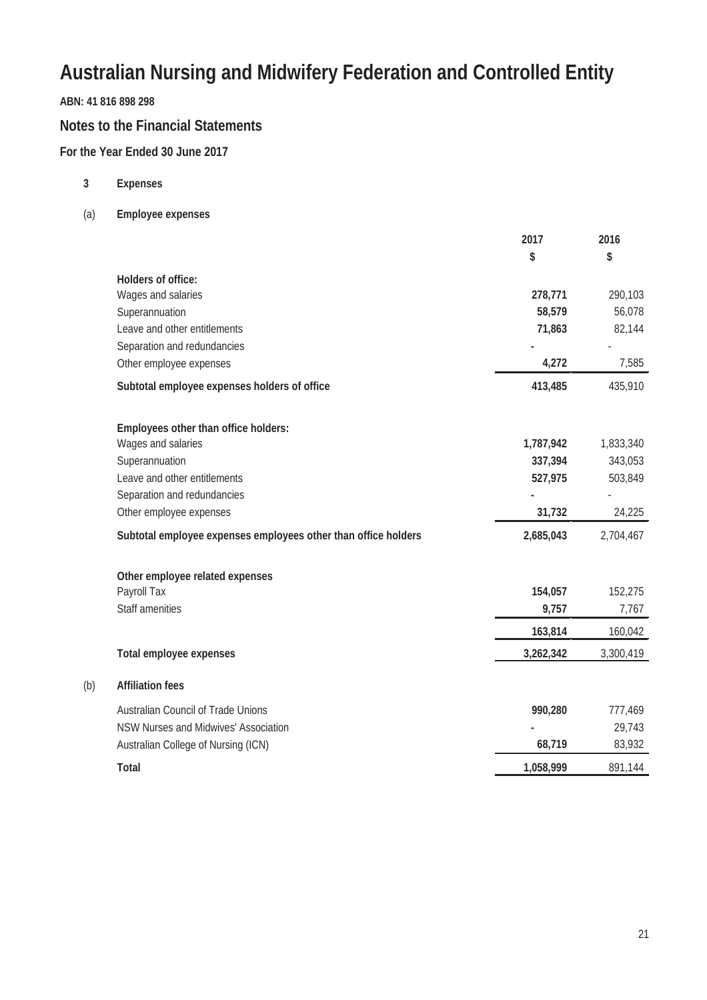#### **ABN: 41 816 898 298**

#### **Notes to the Financial Statements**

#### **For the Year Ended 30 June 2017**

**3 Expenses**

(b) **Affiliation fees**

(a) **Employee expenses**

|                                                                | 2017      | 2016      |
|----------------------------------------------------------------|-----------|-----------|
|                                                                | \$        | \$        |
| <b>Holders of office:</b>                                      |           |           |
| Wages and salaries                                             | 278,771   | 290,103   |
| Superannuation                                                 | 58,579    | 56,078    |
| Leave and other entitlements                                   | 71,863    | 82,144    |
| Separation and redundancies                                    |           |           |
| Other employee expenses                                        | 4,272     | 7,585     |
| Subtotal employee expenses holders of office                   | 413,485   | 435,910   |
| Employees other than office holders:                           |           |           |
| Wages and salaries                                             | 1,787,942 | 1,833,340 |
| Superannuation                                                 | 337,394   | 343,053   |
| Leave and other entitlements                                   | 527,975   | 503,849   |
| Separation and redundancies                                    |           |           |
| Other employee expenses                                        | 31,732    | 24,225    |
| Subtotal employee expenses employees other than office holders | 2,685,043 | 2,704,467 |
| Other employee related expenses                                |           |           |
| Payroll Tax                                                    | 154,057   | 152,275   |
| <b>Staff amenities</b>                                         | 9,757     | 7,767     |
|                                                                | 163,814   | 160,042   |
| <b>Total employee expenses</b>                                 | 3,262,342 | 3,300,419 |
| <b>Affiliation fees</b>                                        |           |           |
| <b>Australian Council of Trade Unions</b>                      | 990,280   | 777,469   |
| NSW Nurses and Midwives' Association                           |           | 29,743    |
| Australian College of Nursing (ICN)                            | 68,719    | 83,932    |
| <b>Total</b>                                                   | 1,058,999 | 891,144   |
|                                                                |           |           |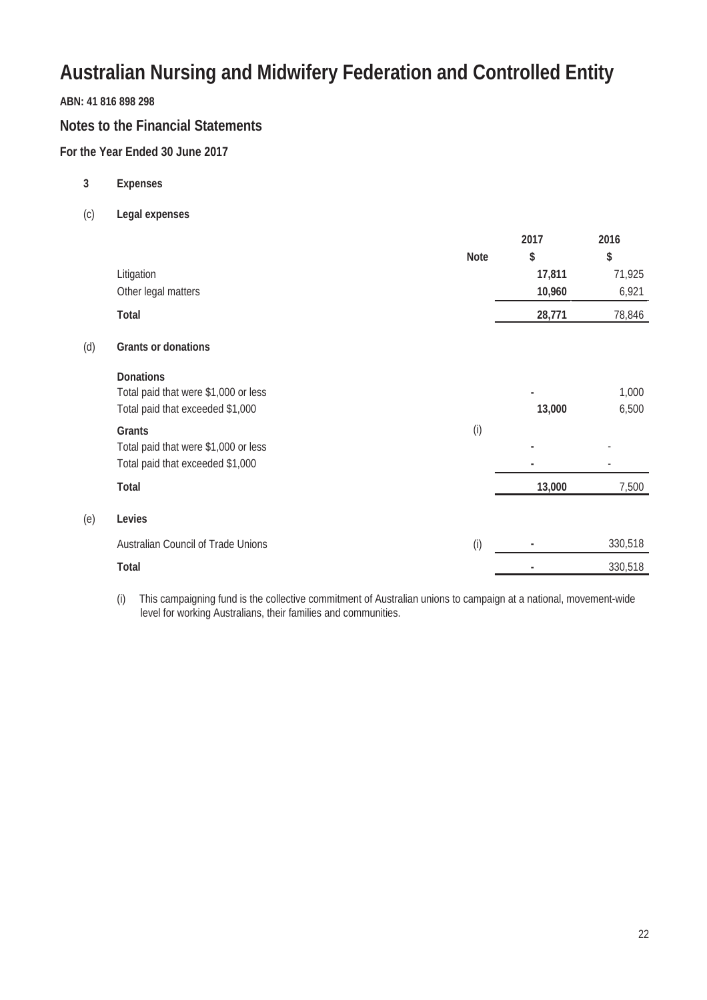#### **ABN: 41 816 898 298**

(d) **Grants or donations**

(e) **Levies**

#### **Notes to the Financial Statements**

#### **For the Year Ended 30 June 2017**

- **3 Expenses**
- (c) **Legal expenses**

|                                           |             | 2017   | 2016    |
|-------------------------------------------|-------------|--------|---------|
|                                           | <b>Note</b> | \$     | \$      |
| Litigation                                |             | 17,811 | 71,925  |
| Other legal matters                       |             | 10,960 | 6,921   |
| <b>Total</b>                              |             | 28,771 | 78,846  |
| <b>Grants or donations</b>                |             |        |         |
| <b>Donations</b>                          |             |        |         |
| Total paid that were \$1,000 or less      |             | ٠      | 1,000   |
| Total paid that exceeded \$1,000          |             | 13,000 | 6,500   |
| <b>Grants</b>                             | (i)         |        |         |
| Total paid that were \$1,000 or less      |             |        |         |
| Total paid that exceeded \$1,000          |             |        |         |
| <b>Total</b>                              |             | 13,000 | 7,500   |
| Levies                                    |             |        |         |
| <b>Australian Council of Trade Unions</b> | (i)         |        | 330,518 |
| <b>Total</b>                              |             |        | 330,518 |
|                                           |             |        |         |

(i) This campaigning fund is the collective commitment of Australian unions to campaign at a national, movement-wide level for working Australians, their families and communities.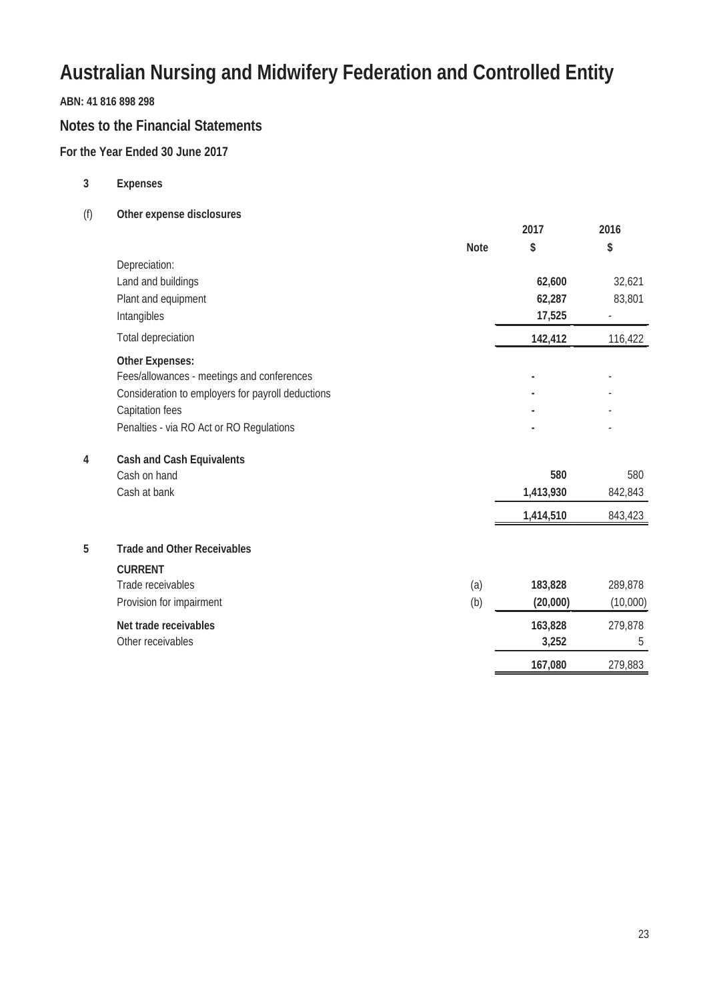#### **ABN: 41 816 898 298**

#### **Notes to the Financial Statements**

#### **For the Year Ended 30 June 2017**

- **3 Expenses**
- (f) **Other expense disclosures**

|   |                                                   |             | 2017      | 2016     |
|---|---------------------------------------------------|-------------|-----------|----------|
|   |                                                   | <b>Note</b> | \$        | \$       |
|   | Depreciation:                                     |             |           |          |
|   | Land and buildings                                |             | 62,600    | 32,621   |
|   | Plant and equipment                               |             | 62,287    | 83,801   |
|   | Intangibles                                       |             | 17,525    |          |
|   | <b>Total depreciation</b>                         |             | 142,412   | 116,422  |
|   | <b>Other Expenses:</b>                            |             |           |          |
|   | Fees/allowances - meetings and conferences        |             |           |          |
|   | Consideration to employers for payroll deductions |             |           |          |
|   | Capitation fees                                   |             |           |          |
|   | Penalties - via RO Act or RO Regulations          |             |           |          |
| 4 | <b>Cash and Cash Equivalents</b>                  |             |           |          |
|   | Cash on hand                                      |             | 580       | 580      |
|   | Cash at bank                                      |             | 1,413,930 | 842,843  |
|   |                                                   |             | 1,414,510 | 843,423  |
| 5 | <b>Trade and Other Receivables</b>                |             |           |          |
|   | <b>CURRENT</b>                                    |             |           |          |
|   | Trade receivables                                 | (a)         | 183,828   | 289,878  |
|   | Provision for impairment                          | (b)         | (20,000)  | (10,000) |
|   | Net trade receivables                             |             | 163,828   | 279,878  |
|   | Other receivables                                 |             | 3,252     | 5        |
|   |                                                   |             | 167,080   | 279,883  |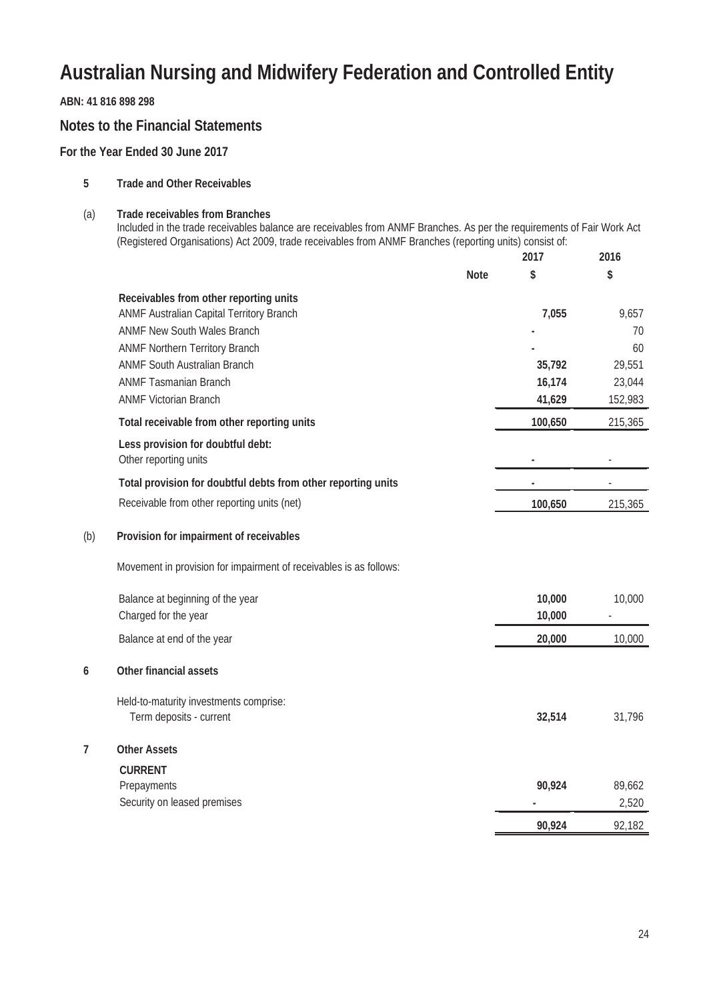**ABN: 41 816 898 298**

#### **Notes to the Financial Statements**

**For the Year Ended 30 June 2017**

- **5 Trade and Other Receivables**
- (a) **Trade receivables from Branches**

Included in the trade receivables balance are receivables from ANMF Branches. As per the requirements of Fair Work Act (Registered Organisations) Act 2009, trade receivables from ANMF Branches (reporting units) consist of: **2016**

|     |                                                                    |             | 2017    | 2016    |
|-----|--------------------------------------------------------------------|-------------|---------|---------|
|     |                                                                    | <b>Note</b> | \$      | \$      |
|     | Receivables from other reporting units                             |             |         |         |
|     | ANMF Australian Capital Territory Branch                           |             | 7,055   | 9,657   |
|     | <b>ANMF New South Wales Branch</b>                                 |             |         | 70      |
|     | <b>ANMF Northern Territory Branch</b>                              |             |         | 60      |
|     | <b>ANMF South Australian Branch</b>                                |             | 35,792  | 29,551  |
|     | <b>ANMF Tasmanian Branch</b>                                       |             | 16,174  | 23,044  |
|     | <b>ANMF Victorian Branch</b>                                       |             | 41,629  | 152,983 |
|     | Total receivable from other reporting units                        |             | 100,650 | 215,365 |
|     | Less provision for doubtful debt:                                  |             |         |         |
|     | Other reporting units                                              |             |         |         |
|     | Total provision for doubtful debts from other reporting units      |             |         |         |
|     | Receivable from other reporting units (net)                        |             | 100,650 | 215,365 |
| (b) | Provision for impairment of receivables                            |             |         |         |
|     | Movement in provision for impairment of receivables is as follows: |             |         |         |
|     | Balance at beginning of the year                                   |             | 10,000  | 10,000  |
|     | Charged for the year                                               |             | 10,000  |         |
|     | Balance at end of the year                                         |             | 20,000  | 10,000  |
| 6   | <b>Other financial assets</b>                                      |             |         |         |
|     | Held-to-maturity investments comprise:                             |             |         |         |
|     | Term deposits - current                                            |             | 32,514  | 31,796  |
| 7   | <b>Other Assets</b>                                                |             |         |         |
|     | <b>CURRENT</b>                                                     |             |         |         |
|     | Prepayments                                                        |             | 90,924  | 89,662  |
|     | Security on leased premises                                        |             |         | 2,520   |
|     |                                                                    |             | 90,924  | 92,182  |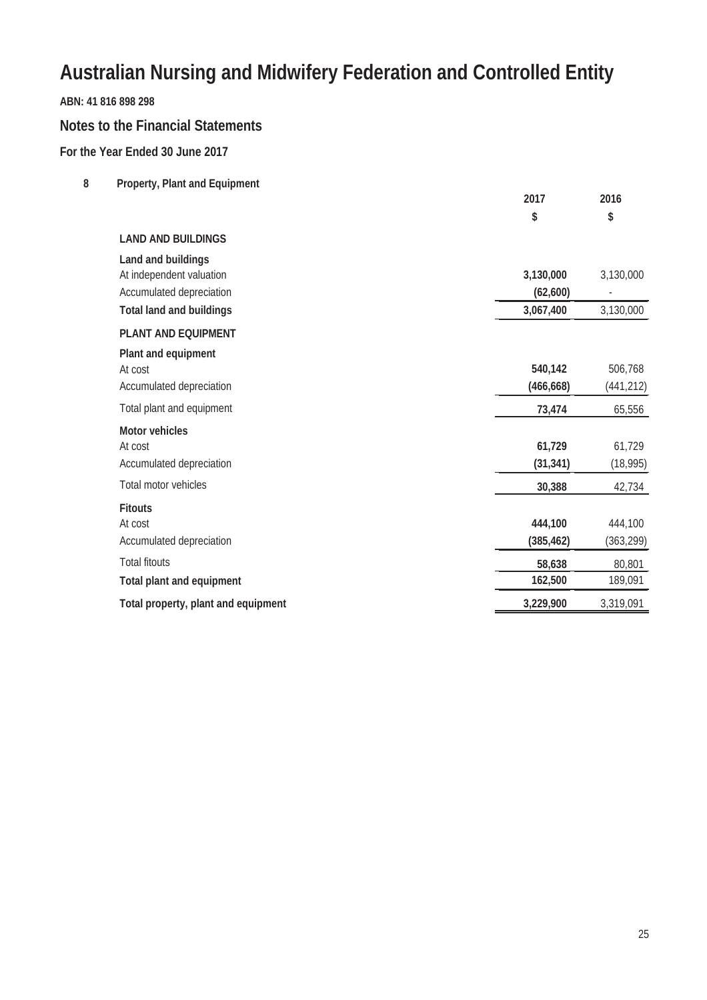#### **ABN: 41 816 898 298**

#### **Notes to the Financial Statements**

#### **For the Year Ended 30 June 2017**

**8 Property, Plant and Equipment**

|                                     | 2017       | 2016       |
|-------------------------------------|------------|------------|
|                                     | \$         | \$         |
| <b>LAND AND BUILDINGS</b>           |            |            |
| Land and buildings                  |            |            |
| At independent valuation            | 3,130,000  | 3,130,000  |
| Accumulated depreciation            | (62, 600)  |            |
| <b>Total land and buildings</b>     | 3,067,400  | 3,130,000  |
| <b>PLANT AND EQUIPMENT</b>          |            |            |
| Plant and equipment                 |            |            |
| At cost                             | 540,142    | 506,768    |
| Accumulated depreciation            | (466, 668) | (441, 212) |
| Total plant and equipment           | 73,474     | 65,556     |
| <b>Motor vehicles</b>               |            |            |
| At cost                             | 61,729     | 61,729     |
| Accumulated depreciation            | (31, 341)  | (18,995)   |
| Total motor vehicles                | 30,388     | 42,734     |
| <b>Fitouts</b>                      |            |            |
| At cost                             | 444,100    | 444,100    |
| Accumulated depreciation            | (385, 462) | (363, 299) |
| <b>Total fitouts</b>                | 58,638     | 80,801     |
| <b>Total plant and equipment</b>    | 162,500    | 189,091    |
| Total property, plant and equipment | 3,229,900  | 3,319,091  |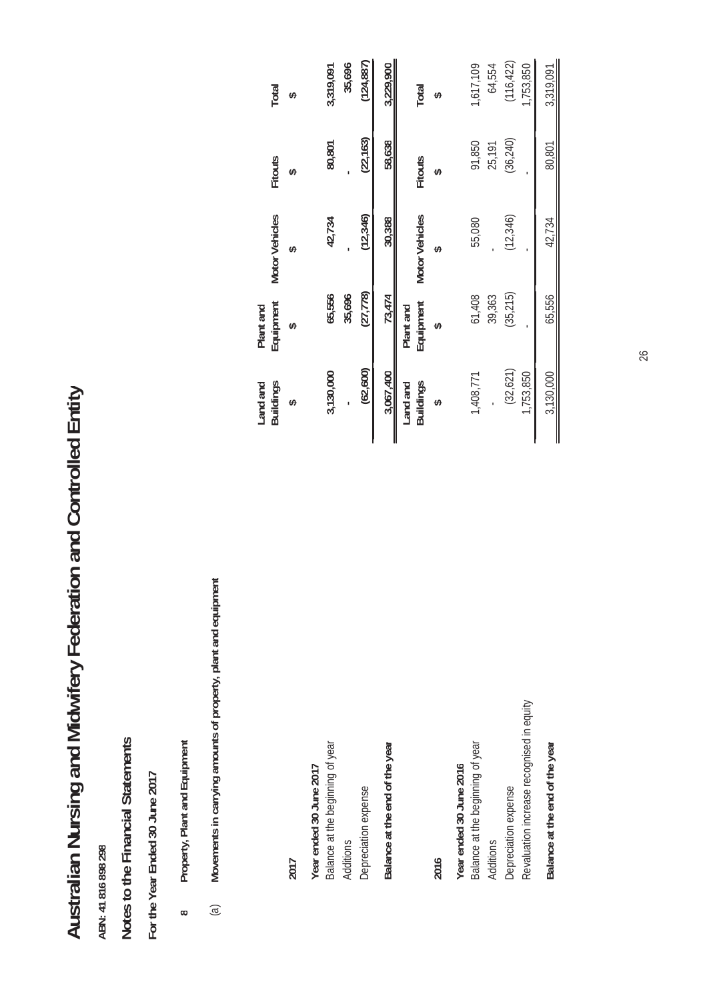Australian Nursing and Midwifery Federation and Controlled Entity **Australian Nursing and Midwifery Federation and Controlled Entity**

Notes to the Financial Statements **Notes to the Financial Statements**

For the Year Ended 30 June 2017 **For the Year Ended 30 June 2017**

- Property, Plant and Equipment **Property, Plant and Equipment 8**
- Movements in carrying amounts of property, plant and equipment (a) **Movements in carrying amounts of property, plant and equipment**  $\mathfrak{g}$

|                                           | Land and<br><b>Buildings</b> | Equipment<br>Plant and | <b>Motor Vehicles</b> | <b>Fitouts</b> | <b>Total</b> |
|-------------------------------------------|------------------------------|------------------------|-----------------------|----------------|--------------|
| 2017                                      |                              |                        |                       |                |              |
| Year ended 30 June 2017                   |                              |                        |                       |                |              |
| Balance at the beginning of year          | 3,130,000                    | 65,556                 | 42,734                | 80,801         | 3,319,091    |
| Additions                                 |                              | 35,696                 |                       |                | 35,696       |
| Depreciation expense                      | (62, 600)                    | (27, 778)              | (12, 346)             | (22, 163)      | (124, 887)   |
| Balance at the end of the year            | 3,067,400                    | 73,474                 | 30,388                | 58,638         | 3,229,900    |
|                                           | Land and                     | Plant and              | <b>Motor Vehicles</b> |                |              |
|                                           | <b>Buildings</b>             | Equipment              |                       | <b>Fitouts</b> | Total        |
| 2016                                      |                              |                        |                       |                |              |
| Year ended 30 June 2016                   |                              |                        |                       |                |              |
| Balance at the beginning of year          | 1,408,771                    | 61,408                 | 55,080                | 91,850         | 1,617,109    |
| <b>Additions</b>                          |                              | 39,363                 |                       | 25,191         | 64,554       |
| Depreciation expense                      | (32, 621)                    | (35, 215)              | (12, 346)             | (36,240)       | (116, 422)   |
| Revaluation increase recognised in equity | 1,753,850                    |                        |                       |                | ,753,850     |
| Balance at the end of the year            | 3,130,000                    | 65,556                 | 42,734                | 80,801         | 3,319,091    |

26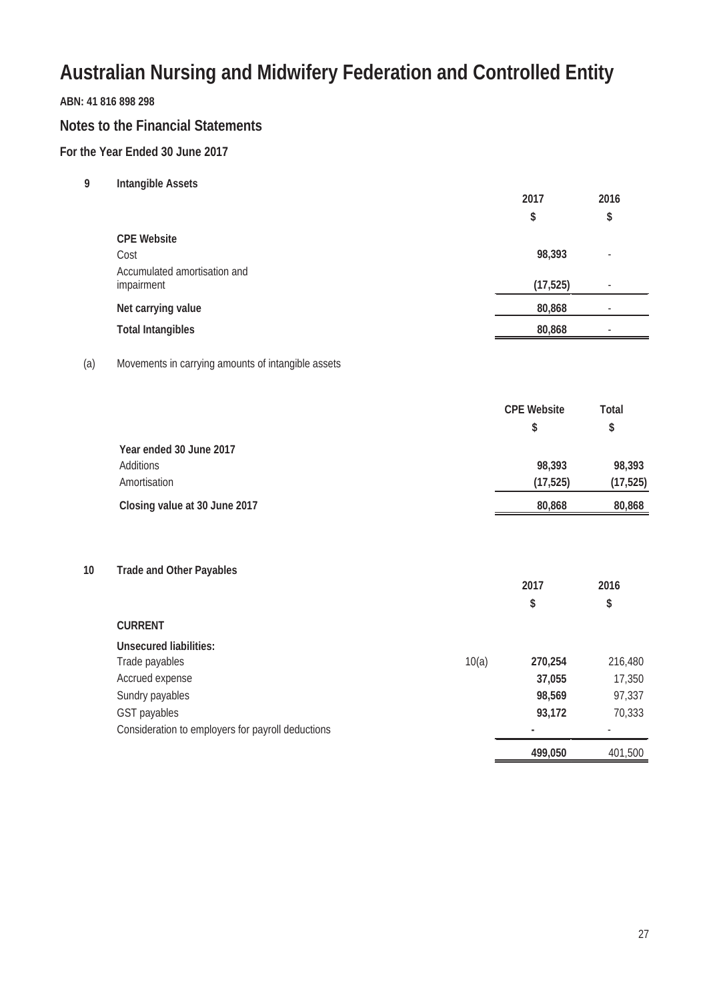#### **ABN: 41 816 898 298**

#### **Notes to the Financial Statements**

#### **For the Year Ended 30 June 2017**

**9 Intangible Assets**

|                                            | 2017      | 2016                     |
|--------------------------------------------|-----------|--------------------------|
|                                            | \$        | \$                       |
| <b>CPE Website</b>                         |           |                          |
| Cost                                       | 98,393    | $\overline{\phantom{a}}$ |
| Accumulated amortisation and<br>impairment | (17, 525) | $\overline{\phantom{a}}$ |
| Net carrying value                         | 80,868    | $\overline{\phantom{a}}$ |
| <b>Total Intangibles</b>                   | 80,868    | $\overline{\phantom{a}}$ |
|                                            |           |                          |

#### (a) Movements in carrying amounts of intangible assets

|                               | <b>CPE Website</b> | Total     |
|-------------------------------|--------------------|-----------|
|                               | S                  | \$        |
| Year ended 30 June 2017       |                    |           |
| Additions                     | 98,393             | 98,393    |
| Amortisation                  | (17, 525)          | (17, 525) |
| Closing value at 30 June 2017 | 80,868             | 80,868    |

**10 Trade and Other Payables**

|                                                   |       | 2017    | 2016    |
|---------------------------------------------------|-------|---------|---------|
|                                                   |       | \$      | \$      |
| <b>CURRENT</b>                                    |       |         |         |
| <b>Unsecured liabilities:</b>                     |       |         |         |
| Trade payables                                    | 10(a) | 270,254 | 216,480 |
| Accrued expense                                   |       | 37,055  | 17,350  |
| Sundry payables                                   |       | 98,569  | 97,337  |
| GST payables                                      |       | 93,172  | 70,333  |
| Consideration to employers for payroll deductions |       |         |         |
|                                                   |       | 499,050 | 401,500 |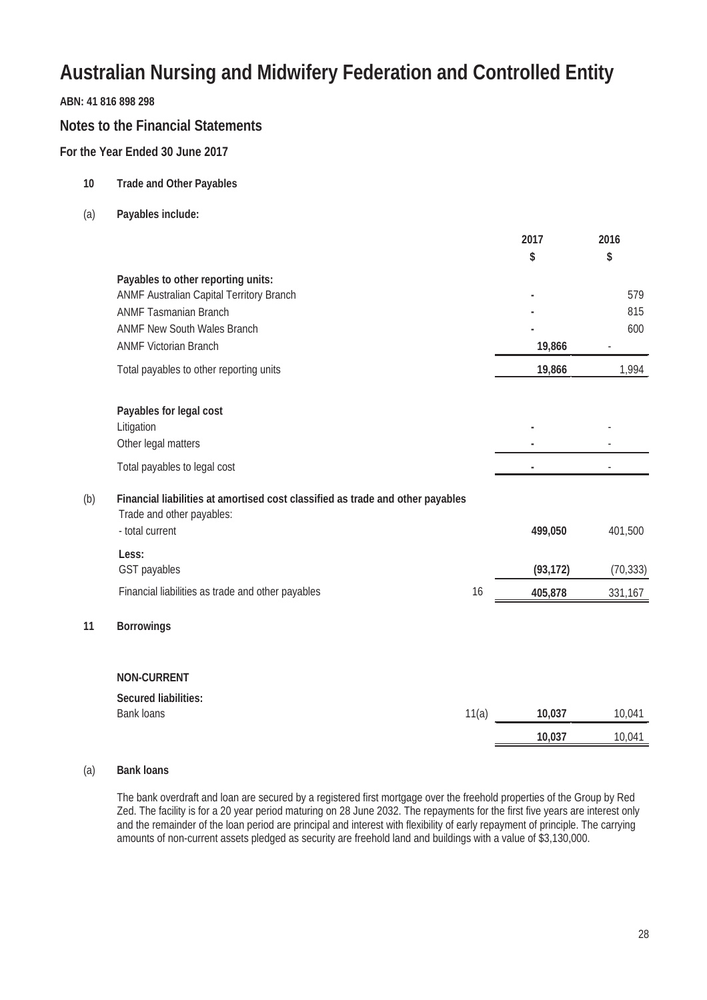#### **ABN: 41 816 898 298**

#### **Notes to the Financial Statements**

#### **For the Year Ended 30 June 2017**

- **10 Trade and Other Payables**
- (a) **Payables include:**

|     |                                                                                                             |       | 2017      | 2016      |
|-----|-------------------------------------------------------------------------------------------------------------|-------|-----------|-----------|
|     |                                                                                                             |       | \$        | \$        |
|     | Payables to other reporting units:                                                                          |       |           |           |
|     | ANMF Australian Capital Territory Branch                                                                    |       |           | 579       |
|     | <b>ANMF Tasmanian Branch</b>                                                                                |       |           | 815       |
|     | <b>ANMF New South Wales Branch</b>                                                                          |       |           | 600       |
|     | <b>ANMF Victorian Branch</b>                                                                                |       | 19,866    |           |
|     | Total payables to other reporting units                                                                     |       | 19,866    | 1,994     |
|     | Payables for legal cost                                                                                     |       |           |           |
|     | Litigation                                                                                                  |       |           |           |
|     | Other legal matters                                                                                         |       |           |           |
|     | Total payables to legal cost                                                                                |       |           |           |
| (b) | Financial liabilities at amortised cost classified as trade and other payables<br>Trade and other payables: |       |           |           |
|     | - total current                                                                                             |       | 499,050   | 401,500   |
|     | Less:                                                                                                       |       |           |           |
|     | GST payables                                                                                                |       | (93, 172) | (70, 333) |
|     | Financial liabilities as trade and other payables                                                           | 16    | 405,878   | 331,167   |
| 11  | <b>Borrowings</b>                                                                                           |       |           |           |
|     | <b>NON-CURRENT</b>                                                                                          |       |           |           |
|     | <b>Secured liabilities:</b>                                                                                 |       |           |           |
|     | <b>Bank loans</b>                                                                                           | 11(a) | 10,037    | 10,041    |
|     |                                                                                                             |       | 10,037    | 10,041    |

#### (a) **Bank loans**

**11 Borrowings**

The bank overdraft and loan are secured by a registered first mortgage over the freehold properties of the Group by Red Zed. The facility is for a 20 year period maturing on 28 June 2032. The repayments for the first five years are interest only and the remainder of the loan period are principal and interest with flexibility of early repayment of principle. The carrying amounts of non-current assets pledged as security are freehold land and buildings with a value of \$3,130,000.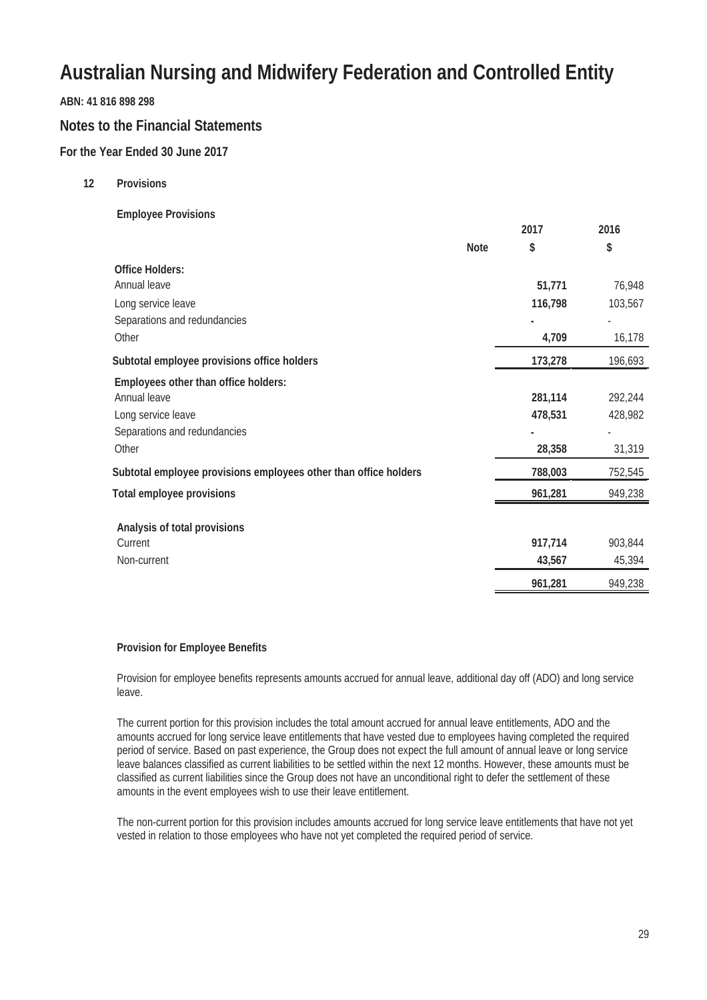#### **ABN: 41 816 898 298**

#### **Notes to the Financial Statements**

#### **For the Year Ended 30 June 2017**

**12 Provisions**

#### **Employee Provisions**

|                                                                  |             | 2017    | 2016    |
|------------------------------------------------------------------|-------------|---------|---------|
|                                                                  | <b>Note</b> | \$      | \$      |
| <b>Office Holders:</b>                                           |             |         |         |
| Annual leave                                                     |             | 51,771  | 76,948  |
| Long service leave                                               |             | 116,798 | 103,567 |
| Separations and redundancies                                     |             |         |         |
| Other                                                            |             | 4,709   | 16,178  |
| Subtotal employee provisions office holders                      |             | 173,278 | 196,693 |
| Employees other than office holders:                             |             |         |         |
| Annual leave                                                     |             | 281,114 | 292,244 |
| Long service leave                                               |             | 478,531 | 428,982 |
| Separations and redundancies                                     |             |         |         |
| Other                                                            |             | 28,358  | 31,319  |
| Subtotal employee provisions employees other than office holders |             | 788,003 | 752,545 |
| <b>Total employee provisions</b>                                 |             | 961,281 | 949,238 |
|                                                                  |             |         |         |
| Analysis of total provisions<br>Current                          |             | 917,714 | 903,844 |
| Non-current                                                      |             | 43,567  | 45,394  |
|                                                                  |             |         |         |
|                                                                  |             | 961,281 | 949,238 |

#### **Provision for Employee Benefits**

Provision for employee benefits represents amounts accrued for annual leave, additional day off (ADO) and long service leave.

The current portion for this provision includes the total amount accrued for annual leave entitlements, ADO and the amounts accrued for long service leave entitlements that have vested due to employees having completed the required period of service. Based on past experience, the Group does not expect the full amount of annual leave or long service leave balances classified as current liabilities to be settled within the next 12 months. However, these amounts must be classified as current liabilities since the Group does not have an unconditional right to defer the settlement of these amounts in the event employees wish to use their leave entitlement.

The non-current portion for this provision includes amounts accrued for long service leave entitlements that have not yet vested in relation to those employees who have not yet completed the required period of service.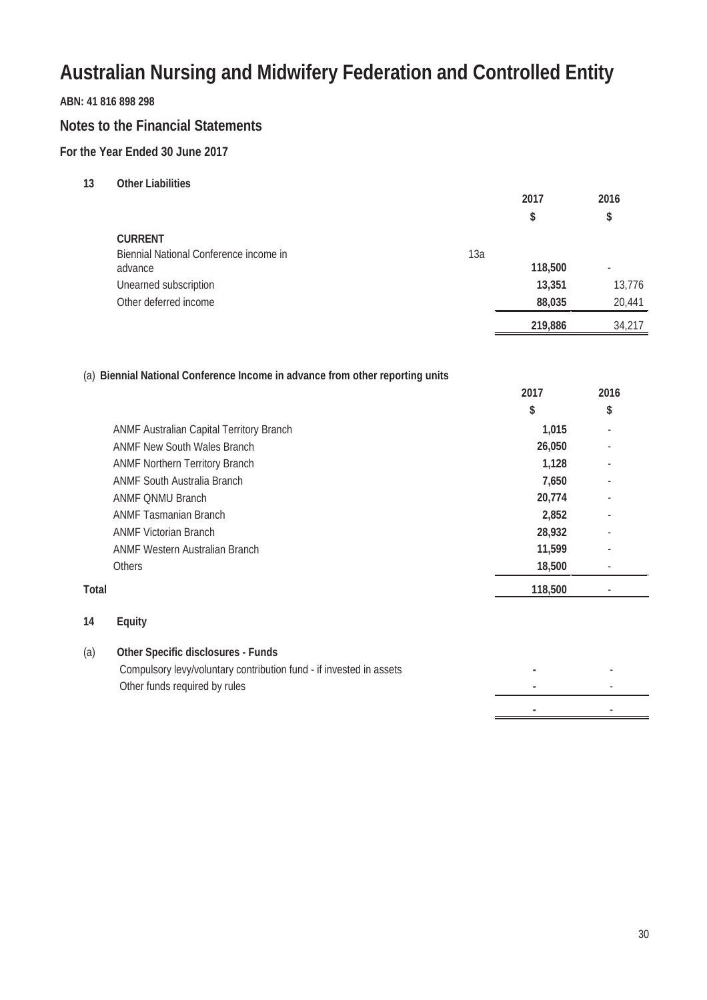#### **ABN: 41 816 898 298**

#### **Notes to the Financial Statements**

#### **For the Year Ended 30 June 2017**

**13 Other Liabilities**

|                                        |     | 2017    | 2016                     |
|----------------------------------------|-----|---------|--------------------------|
|                                        |     | \$      | \$                       |
| <b>CURRENT</b>                         |     |         |                          |
| Biennial National Conference income in | 13a |         |                          |
| advance                                |     | 118,500 | $\overline{\phantom{a}}$ |
| Unearned subscription                  |     | 13,351  | 13,776                   |
| Other deferred income                  |     | 88,035  | 20,441                   |
|                                        |     | 219,886 | 34,217                   |

#### (a) **Biennial National Conference Income in advance from other reporting units**

|       |                                          | 2017    | 2016 |  |
|-------|------------------------------------------|---------|------|--|
|       |                                          | \$      | \$   |  |
|       | ANMF Australian Capital Territory Branch | 1,015   | ٠    |  |
|       | <b>ANMF New South Wales Branch</b>       | 26,050  |      |  |
|       | <b>ANMF Northern Territory Branch</b>    | 1,128   |      |  |
|       | <b>ANMF South Australia Branch</b>       | 7,650   |      |  |
|       | <b>ANMF ONMU Branch</b>                  | 20,774  |      |  |
|       | <b>ANMF Tasmanian Branch</b>             | 2,852   | ٠    |  |
|       | <b>ANMF Victorian Branch</b>             | 28,932  | ٠    |  |
|       | <b>ANMF Western Australian Branch</b>    | 11,599  | ٠    |  |
|       | <b>Others</b>                            | 18,500  |      |  |
| Total |                                          | 118,500 |      |  |
|       |                                          |         |      |  |

#### **14 Equity**

#### (a) **Other Specific disclosures - Funds**

| Compulsory levy/voluntary contribution fund - if invested in assets |  |
|---------------------------------------------------------------------|--|
| Other funds required by rules                                       |  |
|                                                                     |  |

**-** -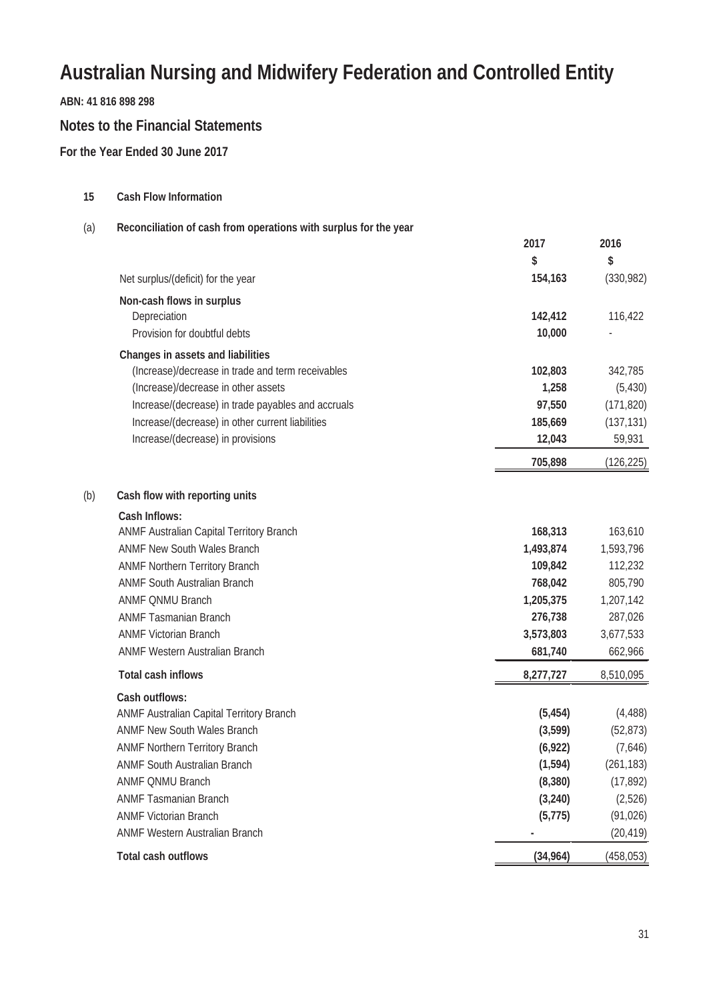**ABN: 41 816 898 298**

#### **Notes to the Financial Statements**

**For the Year Ended 30 June 2017**

**15 Cash Flow Information**

(a) **Reconciliation of cash from operations with surplus for the year 2017 \$ 2016 \$** Net surplus/(deficit) for the year **154,163** (330,982) **Non-cash flows in surplus** Depreciation **142,412** 116,422 Provision for doubtful debts **10,000** - **Changes in assets and liabilities** (Increase)/decrease in trade and term receivables **102,803** 342,785 (Increase)/decrease in other assets **1,258** (5,430) Increase/(decrease) in trade payables and accruals **97,550** (171,820) Increase/(decrease) in other current liabilities **185,669** (137,131) Increase/(decrease) in provisions **12,043** 59,931 **705,898** (126,225) (b) **Cash flow with reporting units Cash Inflows:** ANMF Australian Capital Territory Branch **168,313** 163,610 ANMF New South Wales Branch **1,493,874** 1,593,796 ANMF Northern Territory Branch **109,842** 112,232 ANMF South Australian Branch **768,042** 805,790 ANMF QNMU Branch **1,205,375** 1,207,142 ANMF Tasmanian Branch **276,738** 287,026 ANMF Victorian Branch **3,573,803** 3,677,533 ANMF Western Australian Branch **681,740** 662,966 **Total cash inflows 8,277,727** 8,510,095 **Cash outflows:** ANMF Australian Capital Territory Branch **(5,454)** (4,488) ANMF New South Wales Branch **(3,599)** (52,873) ANMF Northern Territory Branch **(6,922)** (7,646) ANMF South Australian Branch **(1,594)** (261,183) ANMF QNMU Branch **(8,380)** (17,892) ANMF Tasmanian Branch **(3,240)** (2,526) ANMF Victorian Branch **(5,775)** (91,026) ANMF Western Australian Branch **-** (20,419) **Total cash outflows (34,964)** (458,053)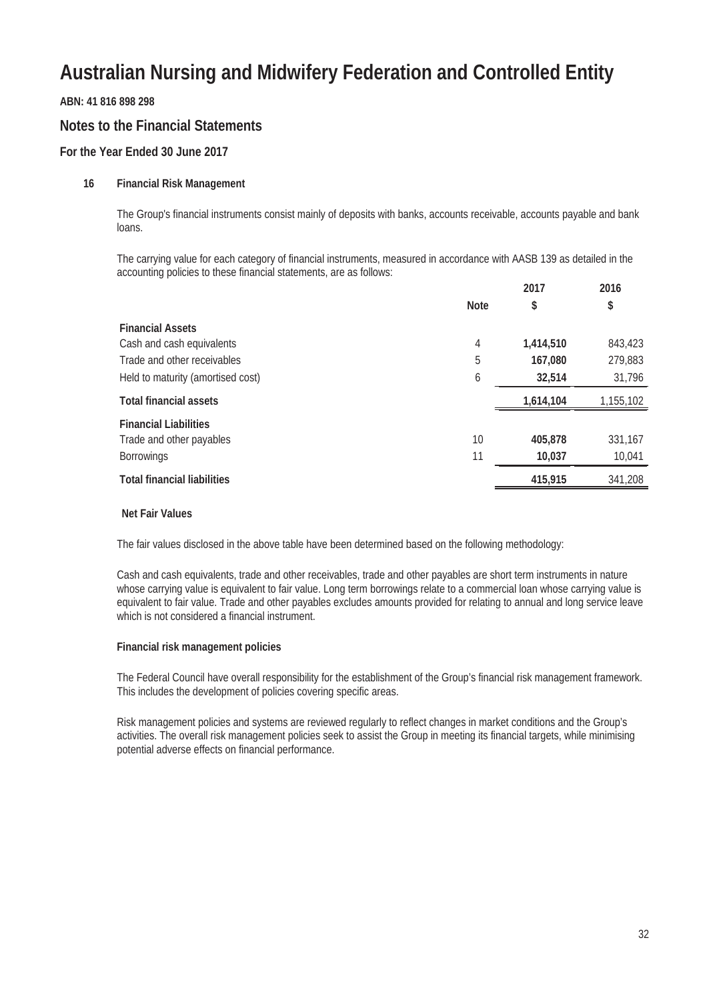**ABN: 41 816 898 298**

#### **Notes to the Financial Statements**

#### **For the Year Ended 30 June 2017**

#### **16 Financial Risk Management**

The Group's financial instruments consist mainly of deposits with banks, accounts receivable, accounts payable and bank loans.

The carrying value for each category of financial instruments, measured in accordance with AASB 139 as detailed in the accounting policies to these financial statements, are as follows:

|                                    |             | 2017      | 2016      |
|------------------------------------|-------------|-----------|-----------|
|                                    | <b>Note</b> | \$        | \$        |
| <b>Financial Assets</b>            |             |           |           |
| Cash and cash equivalents          | 4           | 1,414,510 | 843,423   |
| Trade and other receivables        | 5           | 167,080   | 279,883   |
| Held to maturity (amortised cost)  | 6           | 32,514    | 31,796    |
| <b>Total financial assets</b>      |             | 1,614,104 | 1,155,102 |
| <b>Financial Liabilities</b>       |             |           |           |
| Trade and other payables           | 10          | 405,878   | 331,167   |
| <b>Borrowings</b>                  | 11          | 10,037    | 10,041    |
| <b>Total financial liabilities</b> |             | 415,915   | 341,208   |
|                                    |             |           |           |

#### **Net Fair Values**

The fair values disclosed in the above table have been determined based on the following methodology:

Cash and cash equivalents, trade and other receivables, trade and other payables are short term instruments in nature whose carrying value is equivalent to fair value. Long term borrowings relate to a commercial loan whose carrying value is equivalent to fair value. Trade and other payables excludes amounts provided for relating to annual and long service leave which is not considered a financial instrument.

#### **Financial risk management policies**

The Federal Council have overall responsibility for the establishment of the Group's financial risk management framework. This includes the development of policies covering specific areas.

Risk management policies and systems are reviewed regularly to reflect changes in market conditions and the Group's activities. The overall risk management policies seek to assist the Group in meeting its financial targets, while minimising potential adverse effects on financial performance.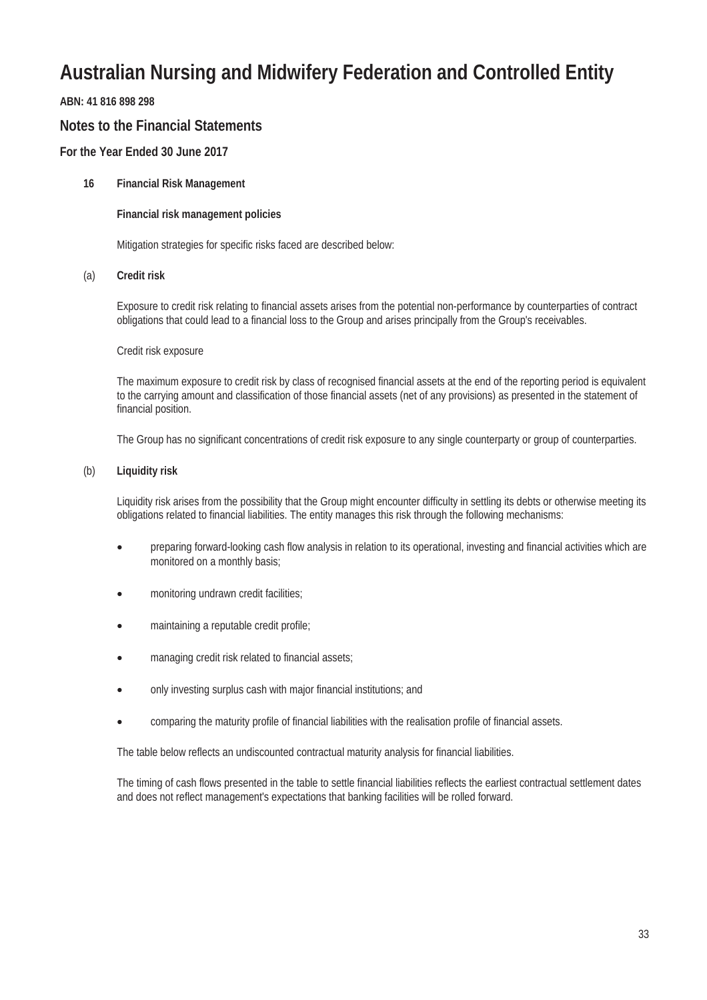#### **ABN: 41 816 898 298**

#### **Notes to the Financial Statements**

#### **For the Year Ended 30 June 2017**

#### **16 Financial Risk Management**

#### **Financial risk management policies**

Mitigation strategies for specific risks faced are described below:

#### (a) **Credit risk**

Exposure to credit risk relating to financial assets arises from the potential non-performance by counterparties of contract obligations that could lead to a financial loss to the Group and arises principally from the Group's receivables.

#### Credit risk exposure

The maximum exposure to credit risk by class of recognised financial assets at the end of the reporting period is equivalent to the carrying amount and classification of those financial assets (net of any provisions) as presented in the statement of financial position.

The Group has no significant concentrations of credit risk exposure to any single counterparty or group of counterparties.

#### (b) **Liquidity risk**

Liquidity risk arises from the possibility that the Group might encounter difficulty in settling its debts or otherwise meeting its obligations related to financial liabilities. The entity manages this risk through the following mechanisms:

- preparing forward-looking cash flow analysis in relation to its operational, investing and financial activities which are monitored on a monthly basis;
- monitoring undrawn credit facilities;
- maintaining a reputable credit profile;
- managing credit risk related to financial assets;
- only investing surplus cash with major financial institutions; and
- comparing the maturity profile of financial liabilities with the realisation profile of financial assets.

The table below reflects an undiscounted contractual maturity analysis for financial liabilities.

The timing of cash flows presented in the table to settle financial liabilities reflects the earliest contractual settlement dates and does not reflect management's expectations that banking facilities will be rolled forward.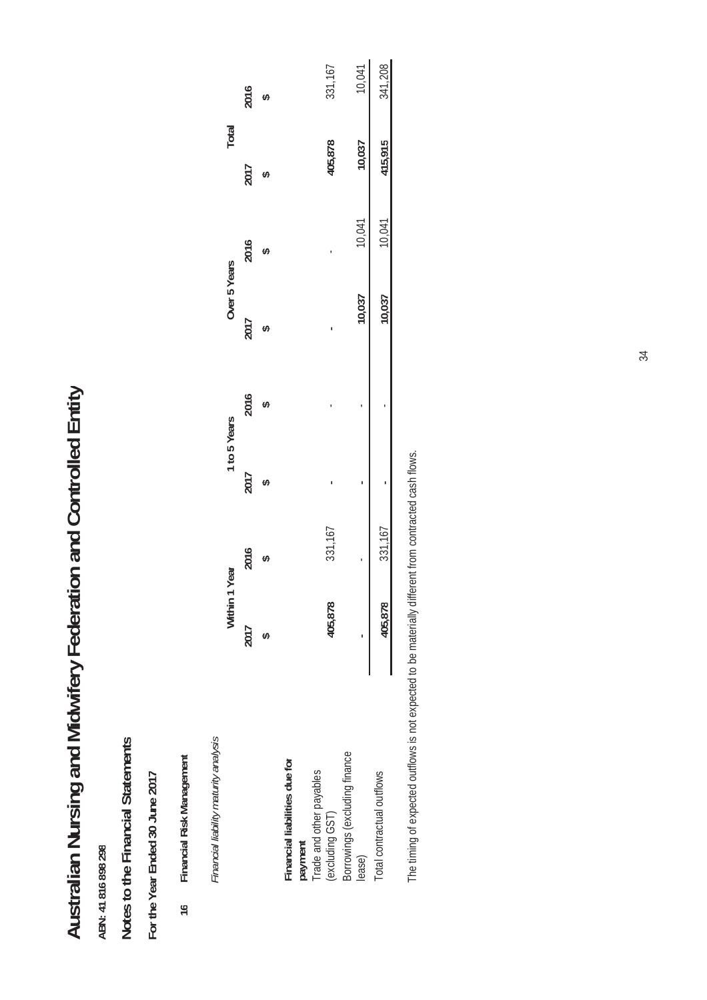# Australian Nursing and Midwifery Federation and Controlled Entity **Australian Nursing and Midwifery Federation and Controlled Entity**

# Notes to the Financial Statements **Notes to the Financial Statements**

# For the Year Ended 30 June 2017 **For the Year Ended 30 June 2017**

Financial Risk Management **16 Financial Risk Management**  $16$ 

|                                       | 2016<br>Ø  |                               |                                                               | 331,167 |                               | 10,041 | 341,208                    |
|---------------------------------------|------------|-------------------------------|---------------------------------------------------------------|---------|-------------------------------|--------|----------------------------|
| Total                                 | 2017       |                               |                                                               | 405,878 |                               | 10,037 | 415,915                    |
|                                       | 2016       |                               |                                                               |         |                               | 10,041 | 10,041                     |
| Over 5 Years                          | 2017       |                               |                                                               |         |                               | 10,037 | 10,037                     |
|                                       | 2016       |                               |                                                               |         |                               |        |                            |
| 1 to 5 Years                          | 2017       |                               |                                                               |         |                               |        |                            |
| Year                                  | 2016       |                               |                                                               | 331,167 |                               |        | 331,167                    |
| Within 1                              | 2017<br>H) |                               |                                                               | 405,878 |                               |        | 405,878                    |
| Financial liability maturity analysis |            | Financial liabilities due for | <b>payment</b><br>Trade and other payables<br>(excluding GST) |         | Borrowings (excluding finance | lease) | Total contractual outflows |

The timing of expected outflows is not expected to be materially different from contracted cash flows. The timing of expected outflows is not expected to be materially different from contracted cash flows.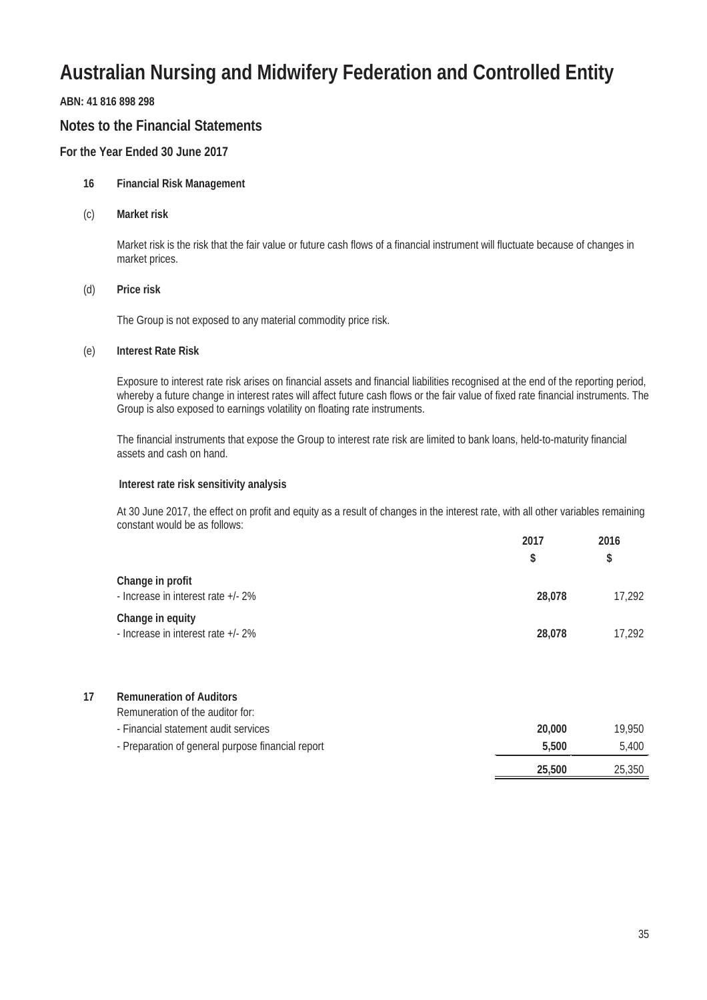#### **ABN: 41 816 898 298**

#### **Notes to the Financial Statements**

#### **For the Year Ended 30 June 2017**

#### **16 Financial Risk Management**

(c) **Market risk**

Market risk is the risk that the fair value or future cash flows of a financial instrument will fluctuate because of changes in market prices.

#### (d) **Price risk**

The Group is not exposed to any material commodity price risk.

#### (e) **Interest Rate Risk**

Exposure to interest rate risk arises on financial assets and financial liabilities recognised at the end of the reporting period, whereby a future change in interest rates will affect future cash flows or the fair value of fixed rate financial instruments. The Group is also exposed to earnings volatility on floating rate instruments.

The financial instruments that expose the Group to interest rate risk are limited to bank loans, held-to-maturity financial assets and cash on hand.

#### **Interest rate risk sensitivity analysis**

At 30 June 2017, the effect on profit and equity as a result of changes in the interest rate, with all other variables remaining constant would be as follows: **2017 2016**

|                                                        | 2017<br>S | 2016<br>\$ |
|--------------------------------------------------------|-----------|------------|
| Change in profit<br>- Increase in interest rate +/- 2% | 28,078    | 17,292     |
| Change in equity<br>- Increase in interest rate +/- 2% | 28,078    | 17.292     |

#### **17 Remuneration of Auditors**

Remuneration of the auditor for:

|  | - Financial statement audit services |  |
|--|--------------------------------------|--|

| - Financial statement audit services              | 20.000 | 19.950 |
|---------------------------------------------------|--------|--------|
| - Preparation of general purpose financial report | 5.500  | 5.400  |
|                                                   | 25,500 | 25,350 |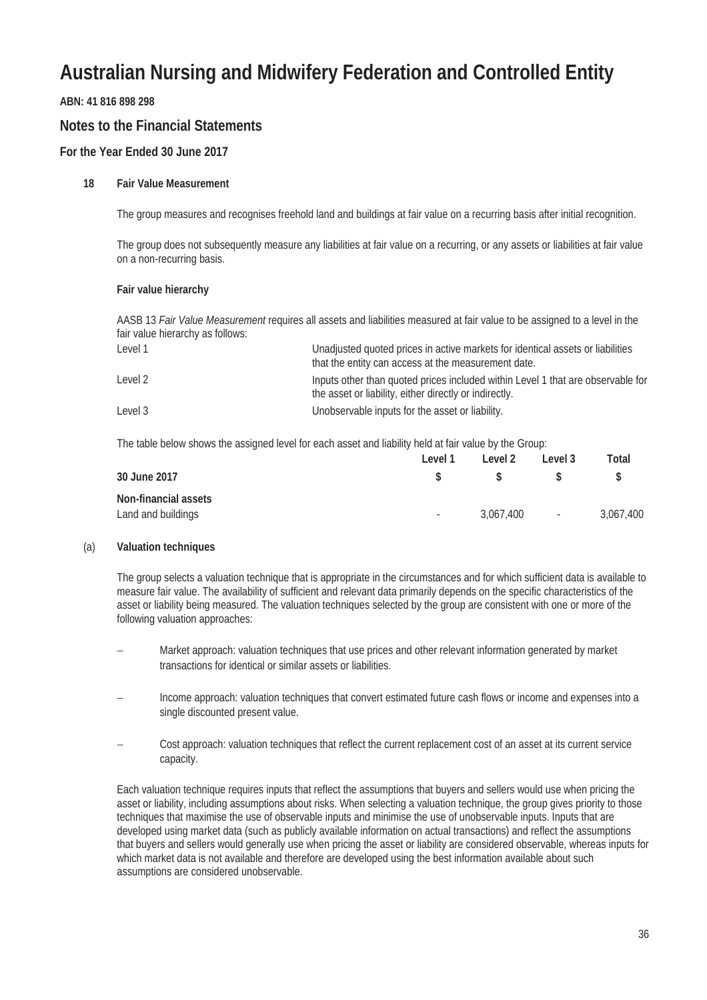#### **ABN: 41 816 898 298**

#### **Notes to the Financial Statements**

#### **For the Year Ended 30 June 2017**

#### **18 Fair Value Measurement**

The group measures and recognises freehold land and buildings at fair value on a recurring basis after initial recognition.

The group does not subsequently measure any liabilities at fair value on a recurring, or any assets or liabilities at fair value on a non-recurring basis.

#### **Fair value hierarchy**

AASB 13 *Fair Value Measurement* requires all assets and liabilities measured at fair value to be assigned to a level in the fair value hierarchy as follows:

| Level 1 | Unadjusted quoted prices in active markets for identical assets or liabilities<br>that the entity can access at the measurement date.     |
|---------|-------------------------------------------------------------------------------------------------------------------------------------------|
| Level 2 | Inputs other than quoted prices included within Level 1 that are observable for<br>the asset or liability, either directly or indirectly. |
| Level 3 | Unobservable inputs for the asset or liability.                                                                                           |

The table below shows the assigned level for each asset and liability held at fair value by the Group:

|                      | Level 1    | Level 2   | Level 3         | Total     |
|----------------------|------------|-----------|-----------------|-----------|
| 30 June 2017         |            |           |                 |           |
| Non-financial assets |            |           |                 |           |
| Land and buildings   | $\sim$ $-$ | 3.067.400 | $\sim 10^{-11}$ | 3,067,400 |

#### (a) **Valuation techniques**

The group selects a valuation technique that is appropriate in the circumstances and for which sufficient data is available to measure fair value. The availability of sufficient and relevant data primarily depends on the specific characteristics of the asset or liability being measured. The valuation techniques selected by the group are consistent with one or more of the following valuation approaches:

- Market approach: valuation techniques that use prices and other relevant information generated by market transactions for identical or similar assets or liabilities.
- Income approach: valuation techniques that convert estimated future cash flows or income and expenses into a single discounted present value.
- Cost approach: valuation techniques that reflect the current replacement cost of an asset at its current service capacity.

Each valuation technique requires inputs that reflect the assumptions that buyers and sellers would use when pricing the asset or liability, including assumptions about risks. When selecting a valuation technique, the group gives priority to those techniques that maximise the use of observable inputs and minimise the use of unobservable inputs. Inputs that are developed using market data (such as publicly available information on actual transactions) and reflect the assumptions that buyers and sellers would generally use when pricing the asset or liability are considered observable, whereas inputs for which market data is not available and therefore are developed using the best information available about such assumptions are considered unobservable.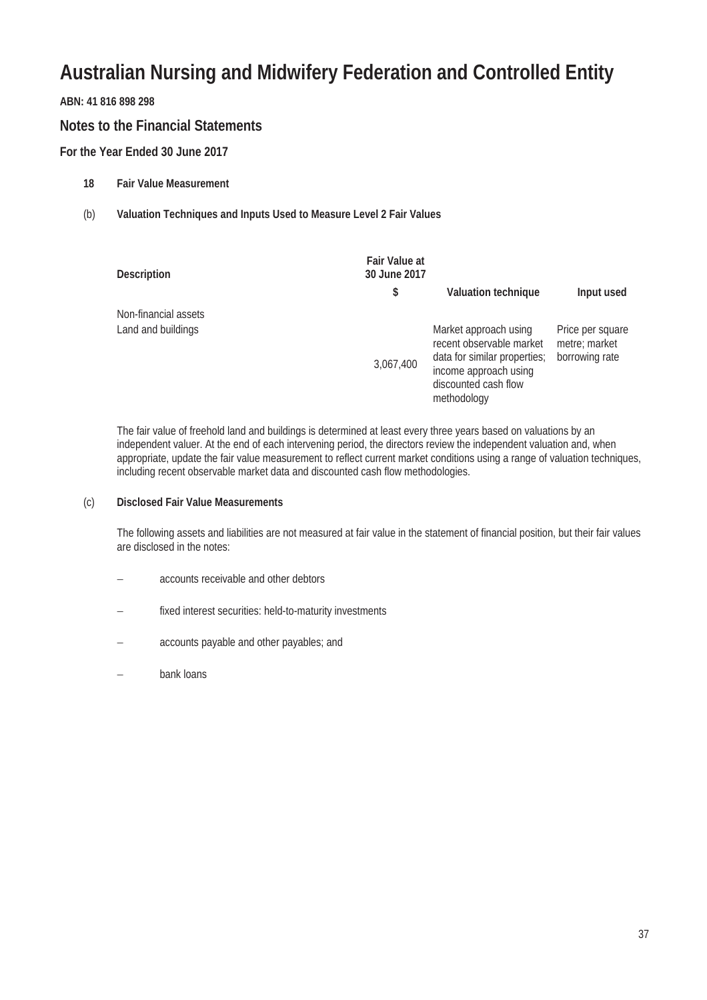#### **ABN: 41 816 898 298**

#### **Notes to the Financial Statements**

#### **For the Year Ended 30 June 2017**

- **18 Fair Value Measurement**
- (b) **Valuation Techniques and Inputs Used to Measure Level 2 Fair Values**

| <b>Description</b>                         | <b>Fair Value at</b><br>30 June 2017 |                                                                                                                                                   |                                                     |
|--------------------------------------------|--------------------------------------|---------------------------------------------------------------------------------------------------------------------------------------------------|-----------------------------------------------------|
|                                            | \$                                   | <b>Valuation technique</b>                                                                                                                        | Input used                                          |
| Non-financial assets<br>Land and buildings | 3,067,400                            | Market approach using<br>recent observable market<br>data for similar properties;<br>income approach using<br>discounted cash flow<br>methodology | Price per square<br>metre: market<br>borrowing rate |

The fair value of freehold land and buildings is determined at least every three years based on valuations by an independent valuer. At the end of each intervening period, the directors review the independent valuation and, when appropriate, update the fair value measurement to reflect current market conditions using a range of valuation techniques, including recent observable market data and discounted cash flow methodologies.

#### (c) **Disclosed Fair Value Measurements**

The following assets and liabilities are not measured at fair value in the statement of financial position, but their fair values are disclosed in the notes:

- accounts receivable and other debtors
- fixed interest securities: held-to-maturity investments
- accounts payable and other payables; and
- bank loans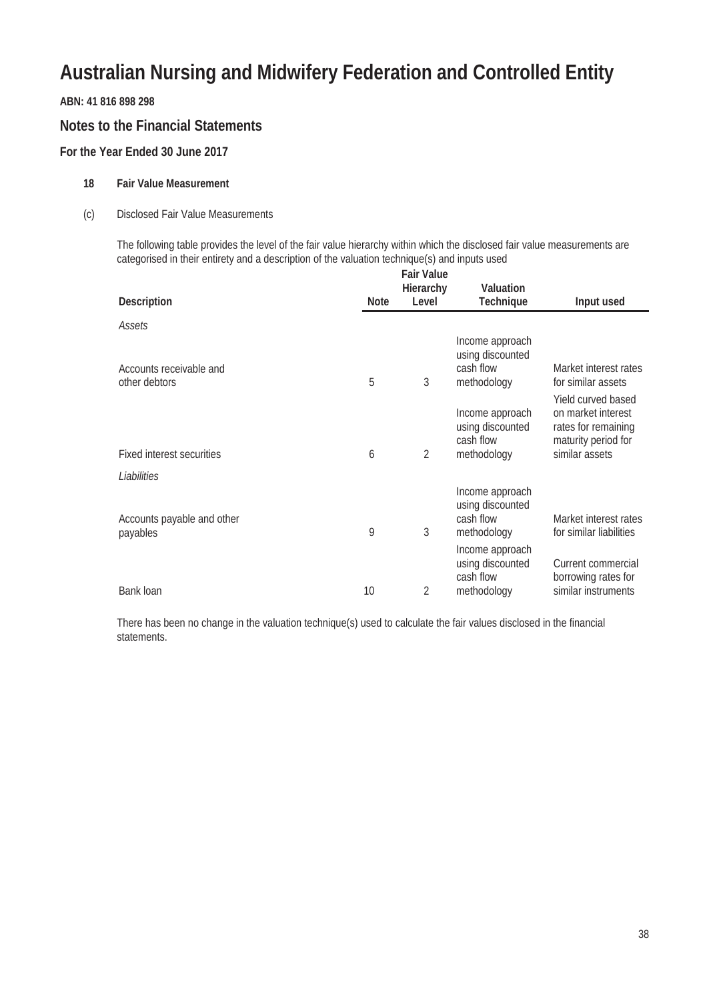#### **ABN: 41 816 898 298**

#### **Notes to the Financial Statements**

#### **For the Year Ended 30 June 2017**

#### **18 Fair Value Measurement**

#### (c) Disclosed Fair Value Measurements

The following table provides the level of the fair value hierarchy within which the disclosed fair value measurements are categorised in their entirety and a description of the valuation technique(s) and inputs used **Fair Value**

| <b>Description</b><br><b>Note</b>             | rall valut<br>Hierarchy<br>Level | <b>Valuation</b><br><b>Technique</b>                                               | Input used                                                                                               |
|-----------------------------------------------|----------------------------------|------------------------------------------------------------------------------------|----------------------------------------------------------------------------------------------------------|
| Assets                                        |                                  |                                                                                    |                                                                                                          |
| Accounts receivable and<br>5<br>other debtors | 3                                | Income approach<br>using discounted<br>cash flow<br>methodology                    | Market interest rates<br>for similar assets                                                              |
| <b>Fixed interest securities</b><br>6         | 2                                | Income approach<br>using discounted<br>cash flow<br>methodology                    | Yield curved based<br>on market interest<br>rates for remaining<br>maturity period for<br>similar assets |
| Liabilities                                   |                                  |                                                                                    |                                                                                                          |
| Accounts payable and other<br>9<br>payables   | 3                                | Income approach<br>using discounted<br>cash flow<br>methodology<br>Income approach | Market interest rates<br>for similar liabilities                                                         |
| 10<br>Bank loan                               | 2                                | using discounted<br>cash flow<br>methodology                                       | Current commercial<br>borrowing rates for<br>similar instruments                                         |

There has been no change in the valuation technique(s) used to calculate the fair values disclosed in the financial statements.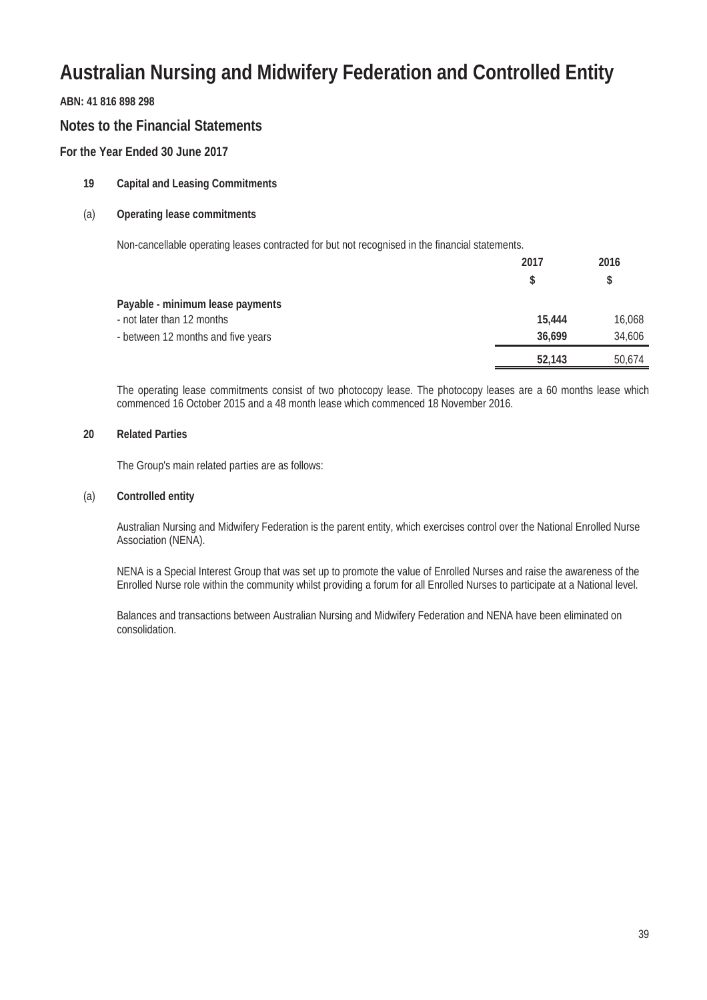#### **ABN: 41 816 898 298**

#### **Notes to the Financial Statements**

#### **For the Year Ended 30 June 2017**

#### **19 Capital and Leasing Commitments**

#### (a) **Operating lease commitments**

Non-cancellable operating leases contracted for but not recognised in the financial statements.

| 2017   | 2016   |
|--------|--------|
| \$     | S      |
|        |        |
| 15,444 | 16,068 |
| 36.699 | 34,606 |
| 52,143 | 50,674 |
|        |        |

The operating lease commitments consist of two photocopy lease. The photocopy leases are a 60 months lease which commenced 16 October 2015 and a 48 month lease which commenced 18 November 2016.

#### **20 Related Parties**

The Group's main related parties are as follows:

#### (a) **Controlled entity**

Australian Nursing and Midwifery Federation is the parent entity, which exercises control over the National Enrolled Nurse Association (NENA).

NENA is a Special Interest Group that was set up to promote the value of Enrolled Nurses and raise the awareness of the Enrolled Nurse role within the community whilst providing a forum for all Enrolled Nurses to participate at a National level.

Balances and transactions between Australian Nursing and Midwifery Federation and NENA have been eliminated on consolidation.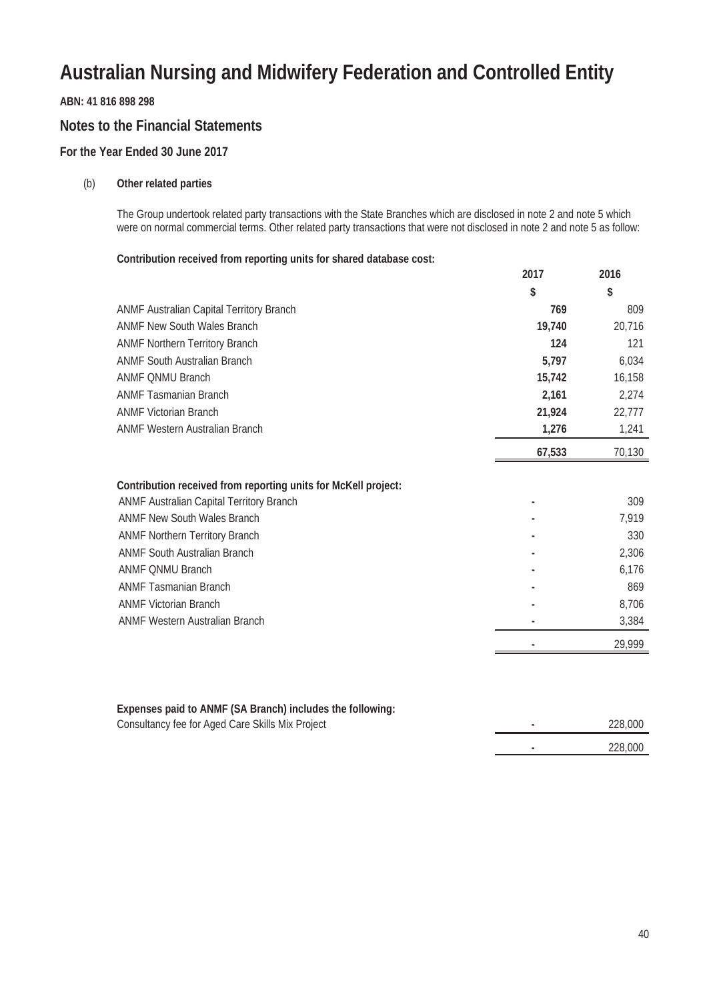**ABN: 41 816 898 298**

#### **Notes to the Financial Statements**

#### **For the Year Ended 30 June 2017**

#### (b) **Other related parties**

The Group undertook related party transactions with the State Branches which are disclosed in note 2 and note 5 which were on normal commercial terms. Other related party transactions that were not disclosed in note 2 and note 5 as follow:

#### **Contribution received from reporting units for shared database cost:**

|                                                                                                                                                                                                                                                             | 2017   | 2016                                  |
|-------------------------------------------------------------------------------------------------------------------------------------------------------------------------------------------------------------------------------------------------------------|--------|---------------------------------------|
|                                                                                                                                                                                                                                                             | \$     | \$                                    |
| <b>ANMF Australian Capital Territory Branch</b>                                                                                                                                                                                                             | 769    | 809                                   |
| <b>ANMF New South Wales Branch</b>                                                                                                                                                                                                                          | 19,740 | 20,716                                |
| <b>ANMF Northern Territory Branch</b>                                                                                                                                                                                                                       | 124    | 121                                   |
| <b>ANMF South Australian Branch</b>                                                                                                                                                                                                                         | 5,797  | 6,034                                 |
| <b>ANMF ONMU Branch</b>                                                                                                                                                                                                                                     | 15,742 | 16,158                                |
| <b>ANMF Tasmanian Branch</b>                                                                                                                                                                                                                                | 2,161  | 2,274                                 |
| <b>ANMF Victorian Branch</b>                                                                                                                                                                                                                                | 21,924 | 22,777                                |
| <b>ANMF Western Australian Branch</b>                                                                                                                                                                                                                       | 1,276  | 1,241                                 |
|                                                                                                                                                                                                                                                             | 67,533 | 70,130                                |
| Contribution received from reporting units for McKell project:<br>ANMF Australian Capital Territory Branch<br><b>ANMF New South Wales Branch</b><br><b>ANMF Northern Territory Branch</b><br><b>ANMF South Australian Branch</b><br><b>ANMF ONMU Branch</b> | ٠      | 309<br>7,919<br>330<br>2,306<br>6,176 |
| <b>ANMF Tasmanian Branch</b>                                                                                                                                                                                                                                |        | 869                                   |
| <b>ANMF Victorian Branch</b>                                                                                                                                                                                                                                |        | 8,706                                 |
| <b>ANMF Western Australian Branch</b>                                                                                                                                                                                                                       |        | 3,384                                 |
|                                                                                                                                                                                                                                                             |        | 29,999                                |
|                                                                                                                                                                                                                                                             |        |                                       |

#### **Expenses paid to ANMF (SA Branch) includes the following:**

Consultancy fee for Aged Care Skills Mix Project **-** 228,000

| ______  |
|---------|
|         |
| 228,000 |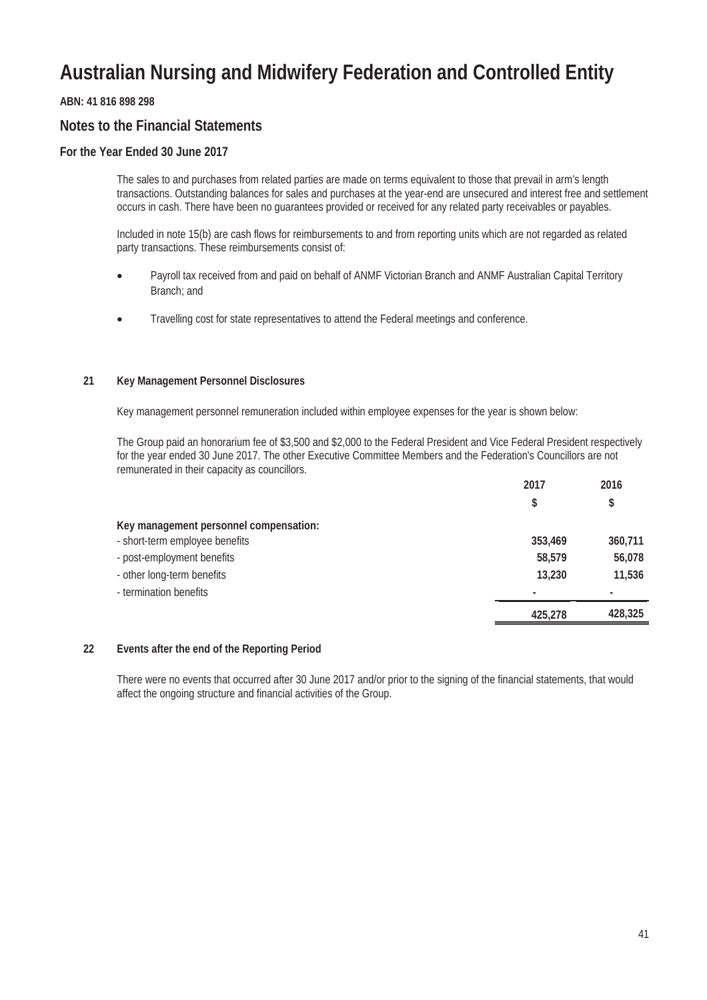#### **ABN: 41 816 898 298**

#### **Notes to the Financial Statements**

#### **For the Year Ended 30 June 2017**

The sales to and purchases from related parties are made on terms equivalent to those that prevail in arm's length transactions. Outstanding balances for sales and purchases at the year-end are unsecured and interest free and settlement occurs in cash. There have been no guarantees provided or received for any related party receivables or payables.

Included in note 15(b) are cash flows for reimbursements to and from reporting units which are not regarded as related party transactions. These reimbursements consist of:

- Payroll tax received from and paid on behalf of ANMF Victorian Branch and ANMF Australian Capital Territory Branch; and
- Travelling cost for state representatives to attend the Federal meetings and conference.

#### **21 Key Management Personnel Disclosures**

Key management personnel remuneration included within employee expenses for the year is shown below:

The Group paid an honorarium fee of \$3,500 and \$2,000 to the Federal President and Vice Federal President respectively for the year ended 30 June 2017. The other Executive Committee Members and the Federation's Councillors are not remunerated in their capacity as councillors.

|                                        | 2017    | 2016    |
|----------------------------------------|---------|---------|
|                                        | \$      | \$      |
| Key management personnel compensation: |         |         |
| - short-term employee benefits         | 353,469 | 360,711 |
| - post-employment benefits             | 58,579  | 56,078  |
| - other long-term benefits             | 13,230  | 11,536  |
| - termination benefits                 |         | ۰       |
|                                        | 425,278 | 428,325 |

#### **22 Events after the end of the Reporting Period**

There were no events that occurred after 30 June 2017 and/or prior to the signing of the financial statements, that would affect the ongoing structure and financial activities of the Group.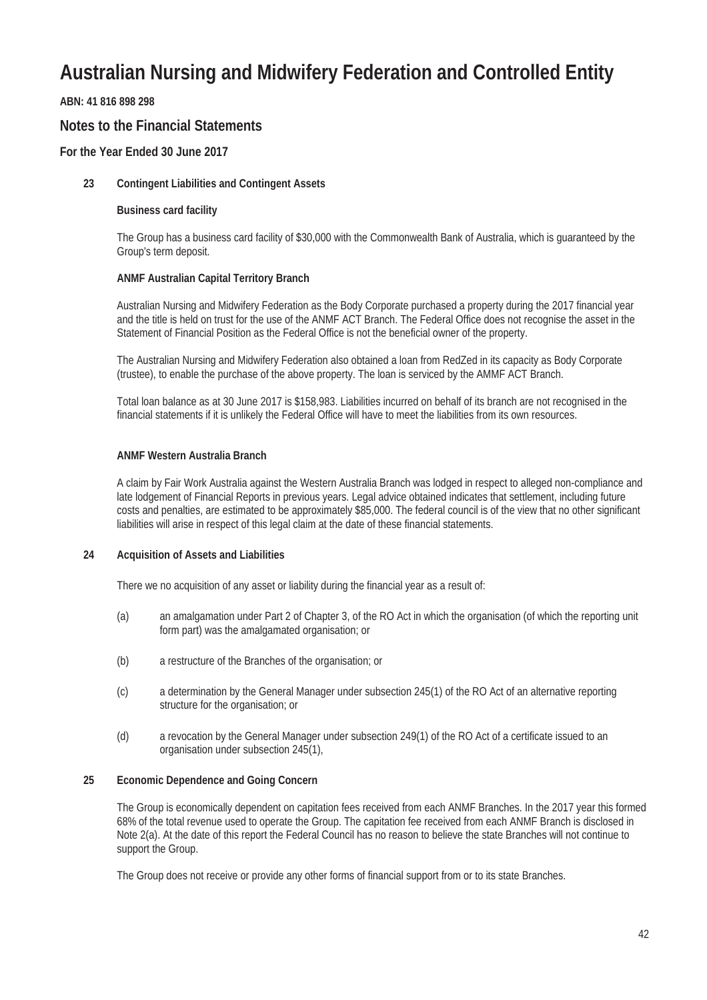#### **ABN: 41 816 898 298**

#### **Notes to the Financial Statements**

#### **For the Year Ended 30 June 2017**

#### **23 Contingent Liabilities and Contingent Assets**

#### **Business card facility**

The Group has a business card facility of \$30,000 with the Commonwealth Bank of Australia, which is guaranteed by the Group's term deposit.

#### **ANMF Australian Capital Territory Branch**

Australian Nursing and Midwifery Federation as the Body Corporate purchased a property during the 2017 financial year and the title is held on trust for the use of the ANMF ACT Branch. The Federal Office does not recognise the asset in the Statement of Financial Position as the Federal Office is not the beneficial owner of the property.

The Australian Nursing and Midwifery Federation also obtained a loan from RedZed in its capacity as Body Corporate (trustee), to enable the purchase of the above property. The loan is serviced by the AMMF ACT Branch.

Total loan balance as at 30 June 2017 is \$158,983. Liabilities incurred on behalf of its branch are not recognised in the financial statements if it is unlikely the Federal Office will have to meet the liabilities from its own resources.

#### **ANMF Western Australia Branch**

A claim by Fair Work Australia against the Western Australia Branch was lodged in respect to alleged non-compliance and late lodgement of Financial Reports in previous years. Legal advice obtained indicates that settlement, including future costs and penalties, are estimated to be approximately \$85,000. The federal council is of the view that no other significant liabilities will arise in respect of this legal claim at the date of these financial statements.

#### **24 Acquisition of Assets and Liabilities**

There we no acquisition of any asset or liability during the financial year as a result of:

- (a) an amalgamation under Part 2 of Chapter 3, of the RO Act in which the organisation (of which the reporting unit form part) was the amalgamated organisation; or
- (b) a restructure of the Branches of the organisation; or
- (c) a determination by the General Manager under subsection 245(1) of the RO Act of an alternative reporting structure for the organisation; or
- (d) a revocation by the General Manager under subsection 249(1) of the RO Act of a certificate issued to an organisation under subsection 245(1),

#### **25 Economic Dependence and Going Concern**

The Group is economically dependent on capitation fees received from each ANMF Branches. In the 2017 year this formed 68% of the total revenue used to operate the Group. The capitation fee received from each ANMF Branch is disclosed in Note 2(a). At the date of this report the Federal Council has no reason to believe the state Branches will not continue to support the Group.

The Group does not receive or provide any other forms of financial support from or to its state Branches.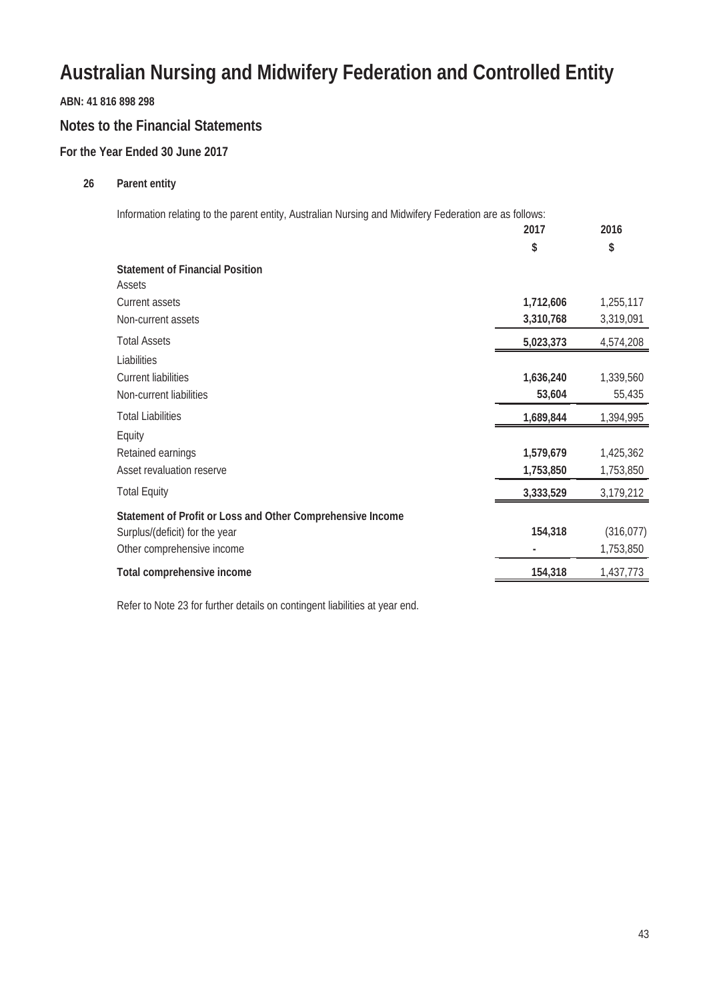**ABN: 41 816 898 298**

#### **Notes to the Financial Statements**

#### **For the Year Ended 30 June 2017**

#### **26 Parent entity**

Information relating to the parent entity, Australian Nursing and Midwifery Federation are as follows:

|                                                            | 2017      | 2016       |
|------------------------------------------------------------|-----------|------------|
|                                                            | \$        | \$         |
| <b>Statement of Financial Position</b>                     |           |            |
| Assets                                                     |           |            |
| <b>Current assets</b>                                      | 1,712,606 | 1,255,117  |
| Non-current assets                                         | 3,310,768 | 3,319,091  |
| <b>Total Assets</b>                                        | 5,023,373 | 4,574,208  |
| Liabilities                                                |           |            |
| <b>Current liabilities</b>                                 | 1,636,240 | 1,339,560  |
| Non-current liabilities                                    | 53,604    | 55,435     |
| <b>Total Liabilities</b>                                   | 1,689,844 | 1,394,995  |
| Equity                                                     |           |            |
| Retained earnings                                          | 1,579,679 | 1,425,362  |
| Asset revaluation reserve                                  | 1,753,850 | 1,753,850  |
| <b>Total Equity</b>                                        | 3,333,529 | 3,179,212  |
| Statement of Profit or Loss and Other Comprehensive Income |           |            |
| Surplus/(deficit) for the year                             | 154,318   | (316, 077) |
| Other comprehensive income                                 |           | 1,753,850  |
| Total comprehensive income                                 | 154,318   | 1,437,773  |
|                                                            |           |            |

Refer to Note 23 for further details on contingent liabilities at year end.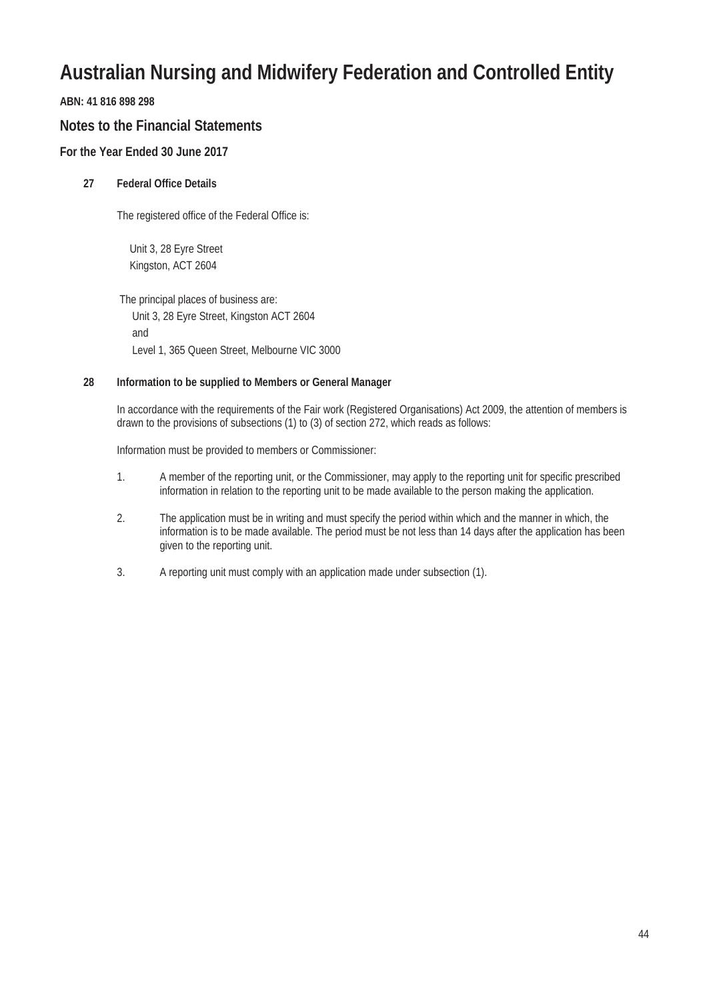#### **ABN: 41 816 898 298**

#### **Notes to the Financial Statements**

#### **For the Year Ended 30 June 2017**

#### **27 Federal Office Details**

The registered office of the Federal Office is:

Unit 3, 28 Eyre Street Kingston, ACT 2604

The principal places of business are: Unit 3, 28 Eyre Street, Kingston ACT 2604 and Level 1, 365 Queen Street, Melbourne VIC 3000

#### **28 Information to be supplied to Members or General Manager**

In accordance with the requirements of the Fair work (Registered Organisations) Act 2009, the attention of members is drawn to the provisions of subsections (1) to (3) of section 272, which reads as follows:

Information must be provided to members or Commissioner:

- 1. A member of the reporting unit, or the Commissioner, may apply to the reporting unit for specific prescribed information in relation to the reporting unit to be made available to the person making the application.
- 2. The application must be in writing and must specify the period within which and the manner in which, the information is to be made available. The period must be not less than 14 days after the application has been given to the reporting unit.
- 3. A reporting unit must comply with an application made under subsection (1).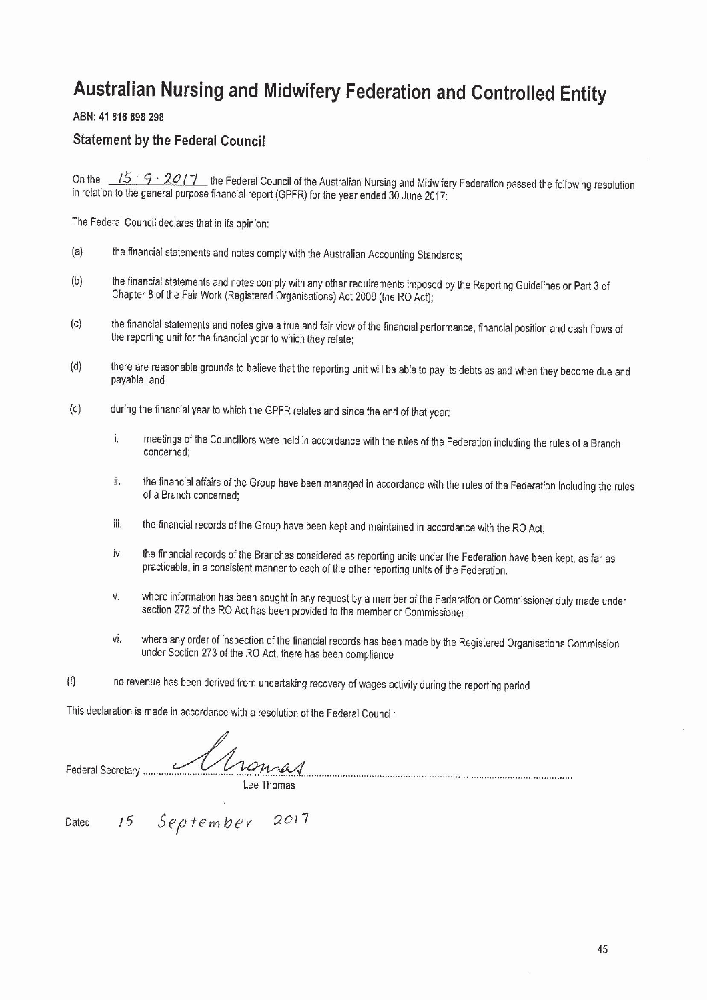ABN: 41 816 898 298

#### **Statement by the Federal Council**

On the  $15 \cdot 9 \cdot 2017$  the Federal Council of the Australian Nursing and Midwifery Federation passed the following resolution in relation to the general purpose financial report (GPFR) for the year ended 30 June 2017:

The Federal Council declares that in its opinion:

- $(a)$ the financial statements and notes comply with the Australian Accounting Standards:
- $(b)$ the financial statements and notes comply with any other requirements imposed by the Reporting Guidelines or Part 3 of Chapter 8 of the Fair Work (Registered Organisations) Act 2009 (the RO Act);
- the financial statements and notes give a true and fair view of the financial performance, financial position and cash flows of  $(c)$ the reporting unit for the financial year to which they relate;
- there are reasonable grounds to believe that the reporting unit will be able to pay its debts as and when they become due and  $(d)$ payable; and
- $(e)$ during the financial year to which the GPFR relates and since the end of that year:
	- i. meetings of the Councillors were held in accordance with the rules of the Federation including the rules of a Branch concerned:
	- ii. the financial affairs of the Group have been managed in accordance with the rules of the Federation including the rules of a Branch concerned:
	- iii. the financial records of the Group have been kept and maintained in accordance with the RO Act;
	- iv. the financial records of the Branches considered as reporting units under the Federation have been kept, as far as practicable, in a consistent manner to each of the other reporting units of the Federation.
	- v. where information has been sought in any request by a member of the Federation or Commissioner duly made under section 272 of the RO Act has been provided to the member or Commissioner;
	- where any order of inspection of the financial records has been made by the Registered Organisations Commission vi. under Section 273 of the RO Act, there has been compliance
- $(f)$ no revenue has been derived from undertaking recovery of wages activity during the reporting period

This declaration is made in accordance with a resolution of the Federal Council:

Monas Federal Secretary .......... Lee Thomas

15 September 2017 Dated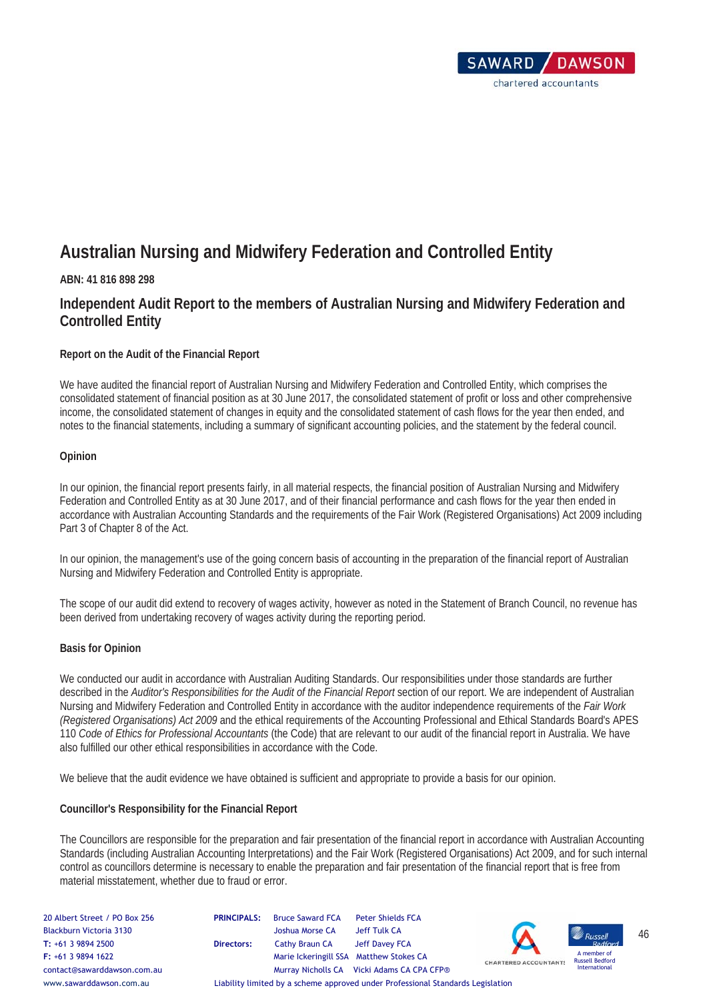

#### **ABN: 41 816 898 298**

#### **Independent Audit Report to the members of Australian Nursing and Midwifery Federation and Controlled Entity**

#### **Report on the Audit of the Financial Report**

We have audited the financial report of Australian Nursing and Midwifery Federation and Controlled Entity, which comprises the consolidated statement of financial position as at 30 June 2017, the consolidated statement of profit or loss and other comprehensive income, the consolidated statement of changes in equity and the consolidated statement of cash flows for the year then ended, and notes to the financial statements, including a summary of significant accounting policies, and the statement by the federal council.

#### **Opinion**

In our opinion, the financial report presents fairly, in all material respects, the financial position of Australian Nursing and Midwifery Federation and Controlled Entity as at 30 June 2017, and of their financial performance and cash flows for the year then ended in accordance with Australian Accounting Standards and the requirements of the Fair Work (Registered Organisations) Act 2009 including Part 3 of Chapter 8 of the Act.

In our opinion, the management's use of the going concern basis of accounting in the preparation of the financial report of Australian Nursing and Midwifery Federation and Controlled Entity is appropriate.

The scope of our audit did extend to recovery of wages activity, however as noted in the Statement of Branch Council, no revenue has been derived from undertaking recovery of wages activity during the reporting period.

#### **Basis for Opinion**

We conducted our audit in accordance with Australian Auditing Standards. Our responsibilities under those standards are further described in the *Auditor's Responsibilities for the Audit of the Financial Report* section of our report. We are independent of Australian Nursing and Midwifery Federation and Controlled Entity in accordance with the auditor independence requirements of the *Fair Work (Registered Organisations) Act 2009* and the ethical requirements of the Accounting Professional and Ethical Standards Board's APES 110 *Code of Ethics for Professional Accountants* (the Code) that are relevant to our audit of the financial report in Australia. We have also fulfilled our other ethical responsibilities in accordance with the Code.

We believe that the audit evidence we have obtained is sufficient and appropriate to provide a basis for our opinion.

#### **Councillor's Responsibility for the Financial Report**

The Councillors are responsible for the preparation and fair presentation of the financial report in accordance with Australian Accounting Standards (including Australian Accounting Interpretations) and the Fair Work (Registered Organisations) Act 2009, and for such internal control as councillors determine is necessary to enable the preparation and fair presentation of the financial report that is free from material misstatement, whether due to fraud or error.

| 20 Albert Street / PO Box 256<br>Blackburn Victoria 3130<br>$T: +61398942500$<br>$F: +61398941622$<br>contact@sawarddawson.com.au | <b>PRINCIPALS:</b><br>Directors: | <b>Bruce Saward FCA</b><br>Joshua Morse CA<br>Cathy Braun CA<br>Marie Ickeringill SSA Matthew Stokes CA | <b>Peter Shields FCA</b><br>Jeff Tulk CA<br>Jeff Davey FCA<br>Murray Nicholls CA Vicki Adams CA CPA CFP® | $\boldsymbol{\Lambda}$<br><b>CHARTERED ACCOUNTANTS</b> | <b>W</b> Russell<br>A member of<br><b>Russell Bedford</b><br>International | 46 |
|-----------------------------------------------------------------------------------------------------------------------------------|----------------------------------|---------------------------------------------------------------------------------------------------------|----------------------------------------------------------------------------------------------------------|--------------------------------------------------------|----------------------------------------------------------------------------|----|
| www.sawarddawson.com.au                                                                                                           |                                  |                                                                                                         | Liability limited by a scheme approved under Professional Standards Legislation                          |                                                        |                                                                            |    |